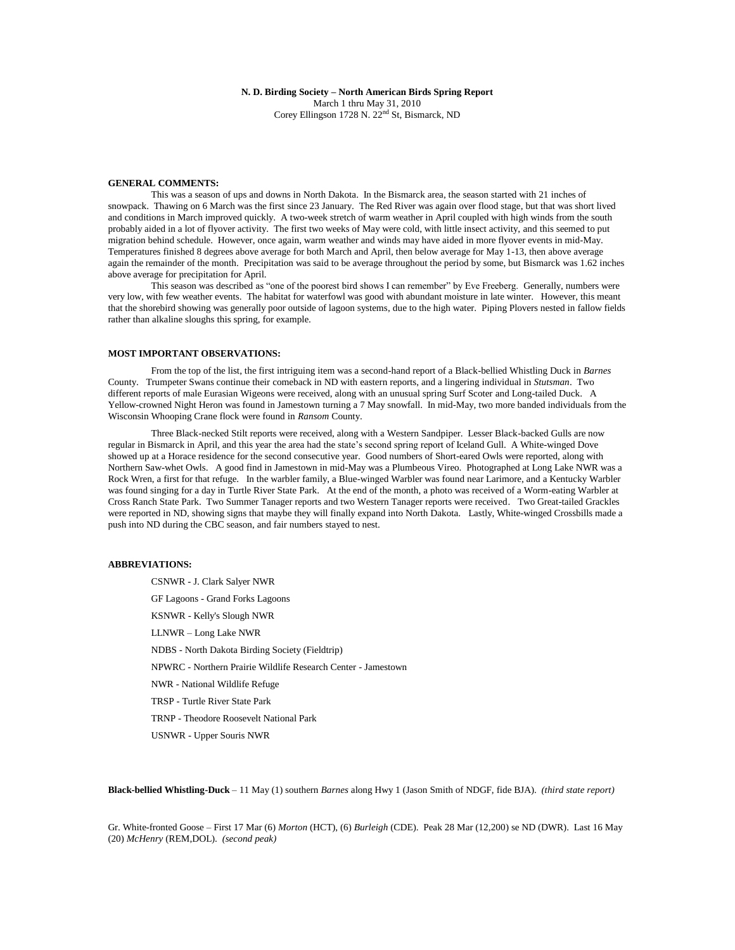**N. D. Birding Society – North American Birds Spring Report**  March 1 thru May 31, 2010 Corey Ellingson 1728 N. 22nd St, Bismarck, ND

### **GENERAL COMMENTS:**

This was a season of ups and downs in North Dakota. In the Bismarck area, the season started with 21 inches of snowpack. Thawing on 6 March was the first since 23 January. The Red River was again over flood stage, but that was short lived and conditions in March improved quickly. A two-week stretch of warm weather in April coupled with high winds from the south probably aided in a lot of flyover activity. The first two weeks of May were cold, with little insect activity, and this seemed to put migration behind schedule. However, once again, warm weather and winds may have aided in more flyover events in mid-May. Temperatures finished 8 degrees above average for both March and April, then below average for May 1-13, then above average again the remainder of the month. Precipitation was said to be average throughout the period by some, but Bismarck was 1.62 inches above average for precipitation for April.

This season was described as "one of the poorest bird shows I can remember" by Eve Freeberg. Generally, numbers were very low, with few weather events. The habitat for waterfowl was good with abundant moisture in late winter. However, this meant that the shorebird showing was generally poor outside of lagoon systems, due to the high water. Piping Plovers nested in fallow fields rather than alkaline sloughs this spring, for example.

### **MOST IMPORTANT OBSERVATIONS:**

From the top of the list, the first intriguing item was a second-hand report of a Black-bellied Whistling Duck in *Barnes* County. Trumpeter Swans continue their comeback in ND with eastern reports, and a lingering individual in *Stutsman*. Two different reports of male Eurasian Wigeons were received, along with an unusual spring Surf Scoter and Long-tailed Duck. A Yellow-crowned Night Heron was found in Jamestown turning a 7 May snowfall. In mid-May, two more banded individuals from the Wisconsin Whooping Crane flock were found in *Ransom* County.

Three Black-necked Stilt reports were received, along with a Western Sandpiper. Lesser Black-backed Gulls are now regular in Bismarck in April, and this year the area had the state's second spring report of Iceland Gull. A White-winged Dove showed up at a Horace residence for the second consecutive year. Good numbers of Short-eared Owls were reported, along with Northern Saw-whet Owls. A good find in Jamestown in mid-May was a Plumbeous Vireo. Photographed at Long Lake NWR was a Rock Wren, a first for that refuge. In the warbler family, a Blue-winged Warbler was found near Larimore, and a Kentucky Warbler was found singing for a day in Turtle River State Park. At the end of the month, a photo was received of a Worm-eating Warbler at Cross Ranch State Park. Two Summer Tanager reports and two Western Tanager reports were received. Two Great-tailed Grackles were reported in ND, showing signs that maybe they will finally expand into North Dakota. Lastly, White-winged Crossbills made a push into ND during the CBC season, and fair numbers stayed to nest.

## **ABBREVIATIONS:**

CSNWR - J. Clark Salyer NWR GF Lagoons - Grand Forks Lagoons KSNWR - Kelly's Slough NWR LLNWR – Long Lake NWR NDBS - North Dakota Birding Society (Fieldtrip) NPWRC - Northern Prairie Wildlife Research Center - Jamestown NWR - National Wildlife Refuge TRSP - Turtle River State Park TRNP - Theodore Roosevelt National Park USNWR - Upper Souris NWR

**Black-bellied Whistling-Duck** – 11 May (1) southern *Barnes* along Hwy 1 (Jason Smith of NDGF, fide BJA). *(third state report)*

Gr. White-fronted Goose – First 17 Mar (6) *Morton* (HCT), (6) *Burleigh* (CDE). Peak 28 Mar (12,200) se ND (DWR). Last 16 May (20) *McHenry* (REM,DOL). *(second peak)*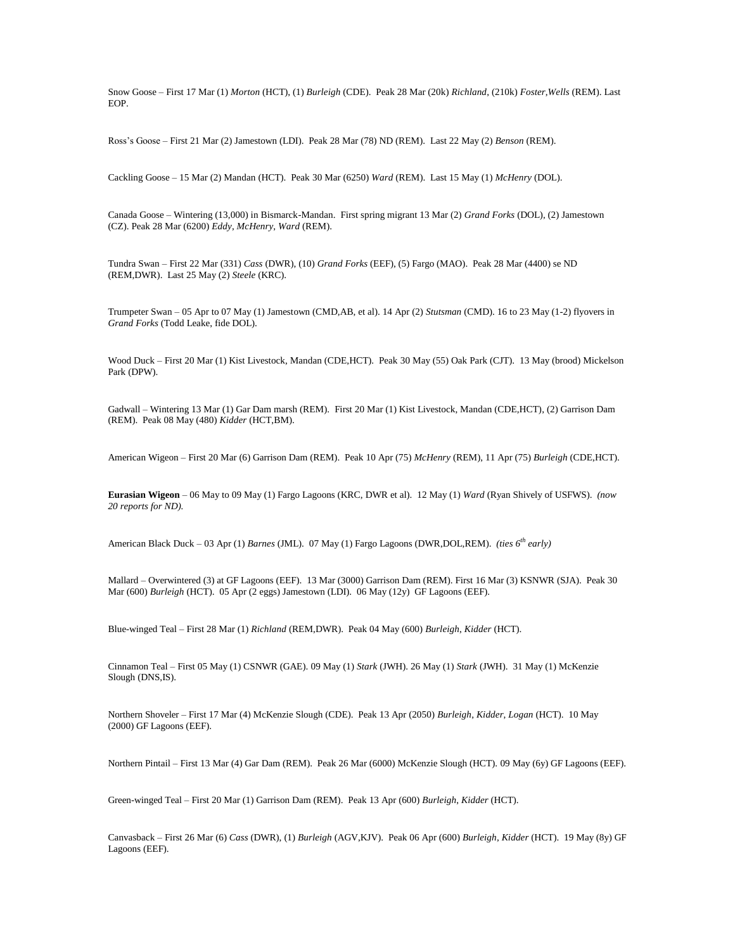Snow Goose – First 17 Mar (1) *Morton* (HCT), (1) *Burleigh* (CDE). Peak 28 Mar (20k) *Richland*, (210k) *Foster*,*Wells* (REM). Last EOP.

Ross's Goose – First 21 Mar (2) Jamestown (LDI). Peak 28 Mar (78) ND (REM). Last 22 May (2) *Benson* (REM).

Cackling Goose – 15 Mar (2) Mandan (HCT). Peak 30 Mar (6250) *Ward* (REM). Last 15 May (1) *McHenry* (DOL).

Canada Goose – Wintering (13,000) in Bismarck-Mandan. First spring migrant 13 Mar (2) *Grand Forks* (DOL), (2) Jamestown (CZ). Peak 28 Mar (6200) *Eddy*, *McHenry*, *Ward* (REM).

Tundra Swan – First 22 Mar (331) *Cass* (DWR), (10) *Grand Forks* (EEF), (5) Fargo (MAO). Peak 28 Mar (4400) se ND (REM,DWR). Last 25 May (2) *Steele* (KRC).

Trumpeter Swan – 05 Apr to 07 May (1) Jamestown (CMD,AB, et al). 14 Apr (2) *Stutsman* (CMD). 16 to 23 May (1-2) flyovers in *Grand Forks* (Todd Leake, fide DOL).

Wood Duck – First 20 Mar (1) Kist Livestock, Mandan (CDE,HCT). Peak 30 May (55) Oak Park (CJT). 13 May (brood) Mickelson Park (DPW).

Gadwall – Wintering 13 Mar (1) Gar Dam marsh (REM). First 20 Mar (1) Kist Livestock, Mandan (CDE,HCT), (2) Garrison Dam (REM). Peak 08 May (480) *Kidder* (HCT,BM).

American Wigeon – First 20 Mar (6) Garrison Dam (REM). Peak 10 Apr (75) *McHenry* (REM), 11 Apr (75) *Burleigh* (CDE,HCT).

**Eurasian Wigeon** – 06 May to 09 May (1) Fargo Lagoons (KRC, DWR et al). 12 May (1) *Ward* (Ryan Shively of USFWS). *(now 20 reports for ND).*

American Black Duck – 03 Apr (1) *Barnes* (JML). 07 May (1) Fargo Lagoons (DWR,DOL,REM). *(ties 6th early)*

Mallard – Overwintered (3) at GF Lagoons (EEF). 13 Mar (3000) Garrison Dam (REM). First 16 Mar (3) KSNWR (SJA). Peak 30 Mar (600) *Burleigh* (HCT). 05 Apr (2 eggs) Jamestown (LDI). 06 May (12y) GF Lagoons (EEF).

Blue-winged Teal – First 28 Mar (1) *Richland* (REM,DWR). Peak 04 May (600) *Burleigh*, *Kidder* (HCT).

Cinnamon Teal – First 05 May (1) CSNWR (GAE). 09 May (1) *Stark* (JWH). 26 May (1) *Stark* (JWH). 31 May (1) McKenzie Slough (DNS,IS).

Northern Shoveler – First 17 Mar (4) McKenzie Slough (CDE). Peak 13 Apr (2050) *Burleigh*, *Kidder*, *Logan* (HCT). 10 May (2000) GF Lagoons (EEF).

Northern Pintail – First 13 Mar (4) Gar Dam (REM). Peak 26 Mar (6000) McKenzie Slough (HCT). 09 May (6y) GF Lagoons (EEF).

Green-winged Teal – First 20 Mar (1) Garrison Dam (REM). Peak 13 Apr (600) *Burleigh*, *Kidder* (HCT).

Canvasback – First 26 Mar (6) *Cass* (DWR), (1) *Burleigh* (AGV,KJV). Peak 06 Apr (600) *Burleigh*, *Kidder* (HCT). 19 May (8y) GF Lagoons (EEF).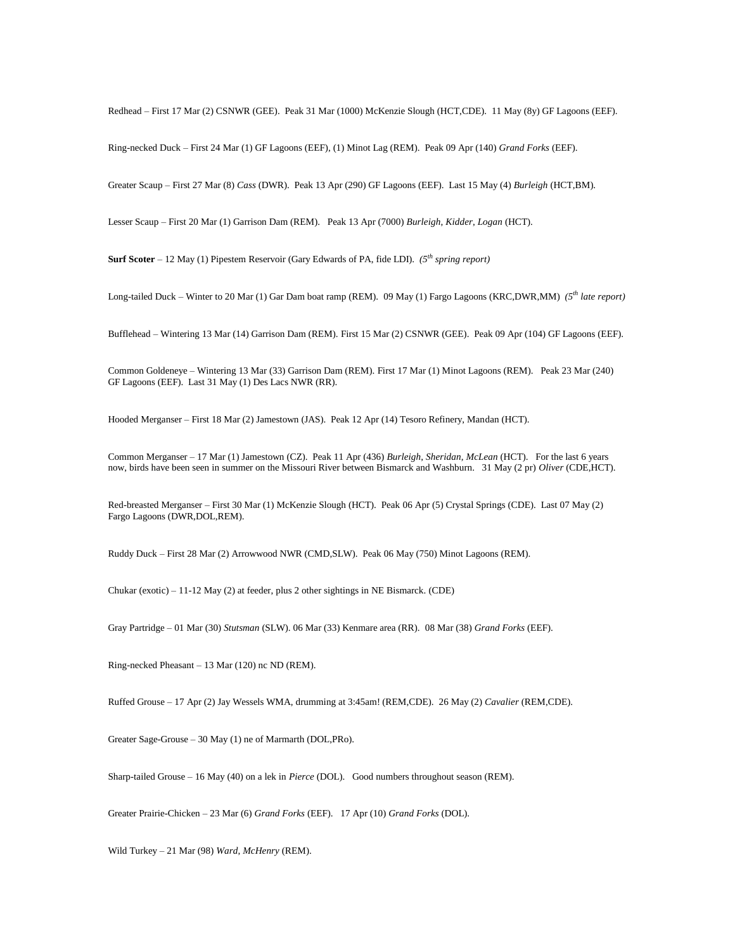Redhead – First 17 Mar (2) CSNWR (GEE). Peak 31 Mar (1000) McKenzie Slough (HCT,CDE). 11 May (8y) GF Lagoons (EEF).

Ring-necked Duck – First 24 Mar (1) GF Lagoons (EEF), (1) Minot Lag (REM). Peak 09 Apr (140) *Grand Forks* (EEF).

Greater Scaup – First 27 Mar (8) *Cass* (DWR). Peak 13 Apr (290) GF Lagoons (EEF). Last 15 May (4) *Burleigh* (HCT,BM).

Lesser Scaup – First 20 Mar (1) Garrison Dam (REM). Peak 13 Apr (7000) *Burleigh*, *Kidder*, *Logan* (HCT).

**Surf Scoter** – 12 May (1) Pipestem Reservoir (Gary Edwards of PA, fide LDI). *(5th spring report)*

Long-tailed Duck – Winter to 20 Mar (1) Gar Dam boat ramp (REM). 09 May (1) Fargo Lagoons (KRC,DWR,MM) *(5th late report)*

Bufflehead – Wintering 13 Mar (14) Garrison Dam (REM). First 15 Mar (2) CSNWR (GEE). Peak 09 Apr (104) GF Lagoons (EEF).

Common Goldeneye – Wintering 13 Mar (33) Garrison Dam (REM). First 17 Mar (1) Minot Lagoons (REM). Peak 23 Mar (240) GF Lagoons (EEF). Last 31 May (1) Des Lacs NWR (RR).

Hooded Merganser – First 18 Mar (2) Jamestown (JAS). Peak 12 Apr (14) Tesoro Refinery, Mandan (HCT).

Common Merganser – 17 Mar (1) Jamestown (CZ). Peak 11 Apr (436) *Burleigh*, *Sheridan*, *McLean* (HCT). For the last 6 years now, birds have been seen in summer on the Missouri River between Bismarck and Washburn. 31 May (2 pr) *Oliver* (CDE,HCT).

Red-breasted Merganser – First 30 Mar (1) McKenzie Slough (HCT). Peak 06 Apr (5) Crystal Springs (CDE). Last 07 May (2) Fargo Lagoons (DWR,DOL,REM).

Ruddy Duck – First 28 Mar (2) Arrowwood NWR (CMD,SLW). Peak 06 May (750) Minot Lagoons (REM).

Chukar (exotic) – 11-12 May (2) at feeder, plus 2 other sightings in NE Bismarck. (CDE)

Gray Partridge – 01 Mar (30) *Stutsman* (SLW). 06 Mar (33) Kenmare area (RR). 08 Mar (38) *Grand Forks* (EEF).

Ring-necked Pheasant – 13 Mar (120) nc ND (REM).

Ruffed Grouse – 17 Apr (2) Jay Wessels WMA, drumming at 3:45am! (REM,CDE). 26 May (2) *Cavalier* (REM,CDE).

Greater Sage-Grouse – 30 May (1) ne of Marmarth (DOL,PRo).

Sharp-tailed Grouse – 16 May (40) on a lek in *Pierce* (DOL). Good numbers throughout season (REM).

Greater Prairie-Chicken – 23 Mar (6) *Grand Forks* (EEF). 17 Apr (10) *Grand Forks* (DOL).

Wild Turkey – 21 Mar (98) *Ward*, *McHenry* (REM).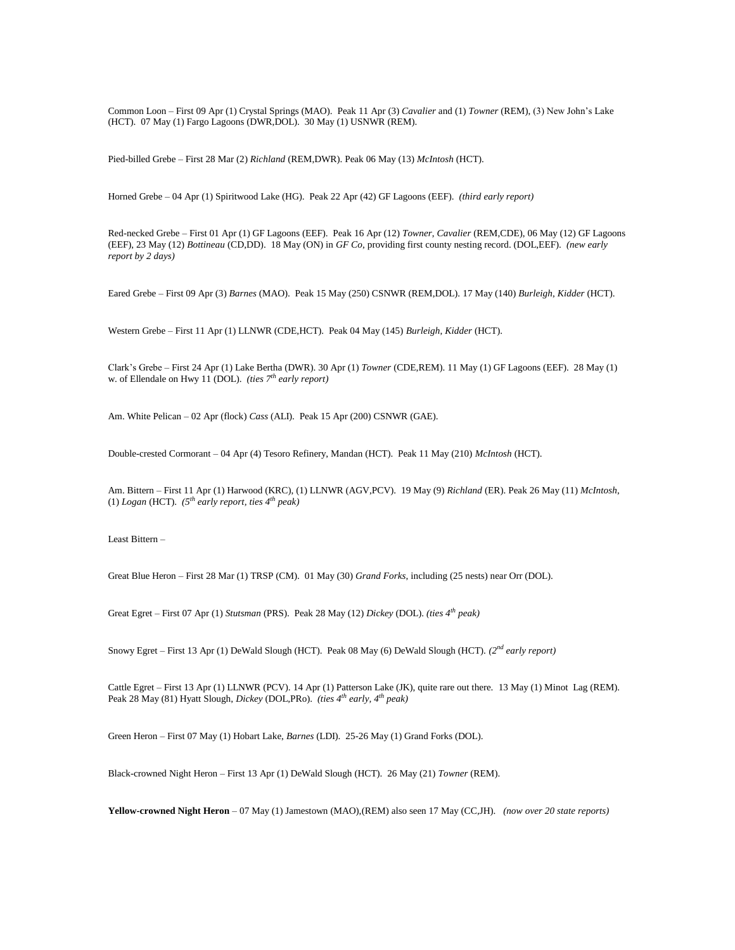Common Loon – First 09 Apr (1) Crystal Springs (MAO). Peak 11 Apr (3) *Cavalier* and (1) *Towner* (REM), (3) New John's Lake (HCT). 07 May (1) Fargo Lagoons (DWR,DOL). 30 May (1) USNWR (REM).

Pied-billed Grebe – First 28 Mar (2) *Richland* (REM,DWR). Peak 06 May (13) *McIntosh* (HCT).

Horned Grebe – 04 Apr (1) Spiritwood Lake (HG). Peak 22 Apr (42) GF Lagoons (EEF). *(third early report)*

Red-necked Grebe – First 01 Apr (1) GF Lagoons (EEF). Peak 16 Apr (12) *Towner*, *Cavalier* (REM,CDE), 06 May (12) GF Lagoons (EEF), 23 May (12) *Bottineau* (CD,DD). 18 May (ON) in *GF Co*, providing first county nesting record. (DOL,EEF). *(new early report by 2 days)*

Eared Grebe – First 09 Apr (3) *Barnes* (MAO). Peak 15 May (250) CSNWR (REM,DOL). 17 May (140) *Burleigh*, *Kidder* (HCT).

Western Grebe – First 11 Apr (1) LLNWR (CDE,HCT). Peak 04 May (145) *Burleigh*, *Kidder* (HCT).

Clark's Grebe – First 24 Apr (1) Lake Bertha (DWR). 30 Apr (1) *Towner* (CDE,REM). 11 May (1) GF Lagoons (EEF). 28 May (1) w. of Ellendale on Hwy 11 (DOL). *(ties 7th early report)*

Am. White Pelican – 02 Apr (flock) *Cass* (ALI). Peak 15 Apr (200) CSNWR (GAE).

Double-crested Cormorant – 04 Apr (4) Tesoro Refinery, Mandan (HCT). Peak 11 May (210) *McIntosh* (HCT).

Am. Bittern – First 11 Apr (1) Harwood (KRC), (1) LLNWR (AGV,PCV). 19 May (9) *Richland* (ER). Peak 26 May (11) *McIntosh*, (1) *Logan* (HCT).  $(5^{th}$  *early report, ties*  $4^{th}$  *peak*)

Least Bittern –

Great Blue Heron – First 28 Mar (1) TRSP (CM). 01 May (30) *Grand Forks*, including (25 nests) near Orr (DOL).

Great Egret – First 07 Apr (1) *Stutsman* (PRS). Peak 28 May (12) *Dickey* (DOL). *(ties 4th peak)*

Snowy Egret – First 13 Apr (1) DeWald Slough (HCT). Peak 08 May (6) DeWald Slough (HCT). *(2nd early report)*

Cattle Egret – First 13 Apr (1) LLNWR (PCV). 14 Apr (1) Patterson Lake (JK), quite rare out there. 13 May (1) Minot Lag (REM). Peak 28 May (81) Hyatt Slough, *Dickey* (DOL,PRo). *(ties 4th early, 4th peak)*

Green Heron – First 07 May (1) Hobart Lake, *Barnes* (LDI). 25-26 May (1) Grand Forks (DOL).

Black-crowned Night Heron – First 13 Apr (1) DeWald Slough (HCT). 26 May (21) *Towner* (REM).

**Yellow-crowned Night Heron** – 07 May (1) Jamestown (MAO),(REM) also seen 17 May (CC,JH). *(now over 20 state reports)*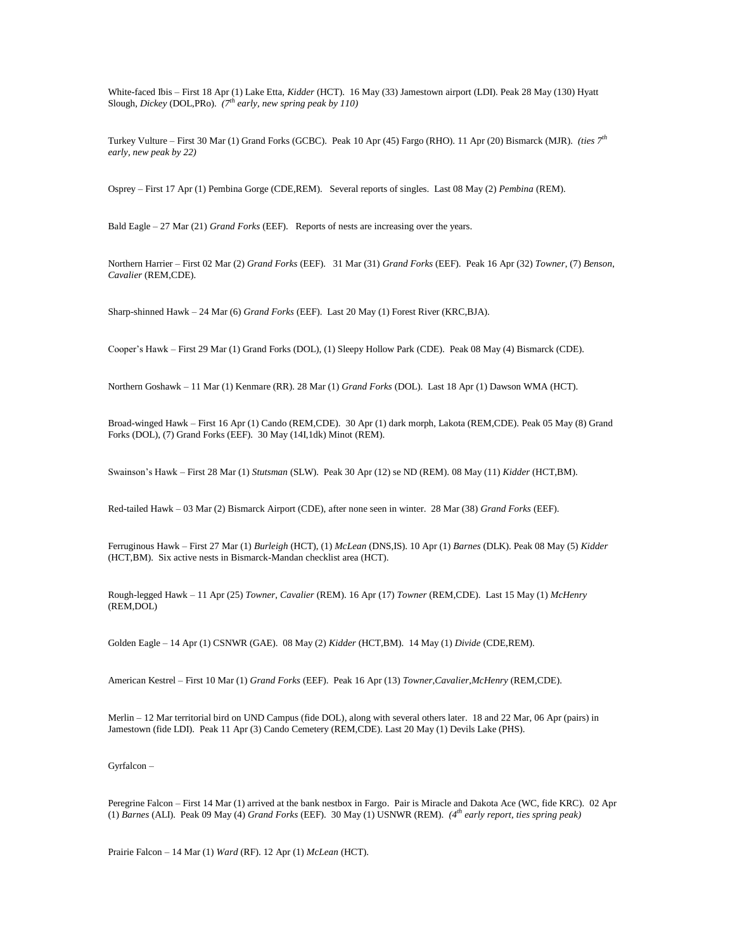White-faced Ibis – First 18 Apr (1) Lake Etta, *Kidder* (HCT). 16 May (33) Jamestown airport (LDI). Peak 28 May (130) Hyatt Slough, *Dickey* (DOL,PRo). *(7th early, new spring peak by 110)*

Turkey Vulture – First 30 Mar (1) Grand Forks (GCBC). Peak 10 Apr (45) Fargo (RHO). 11 Apr (20) Bismarck (MJR). *(ties 7th early, new peak by 22)*

Osprey – First 17 Apr (1) Pembina Gorge (CDE,REM). Several reports of singles. Last 08 May (2) *Pembina* (REM).

Bald Eagle – 27 Mar (21) *Grand Forks* (EEF). Reports of nests are increasing over the years.

Northern Harrier – First 02 Mar (2) *Grand Forks* (EEF). 31 Mar (31) *Grand Forks* (EEF). Peak 16 Apr (32) *Towner*, (7) *Benson*, *Cavalier* (REM,CDE).

Sharp-shinned Hawk – 24 Mar (6) *Grand Forks* (EEF). Last 20 May (1) Forest River (KRC,BJA).

Cooper's Hawk – First 29 Mar (1) Grand Forks (DOL), (1) Sleepy Hollow Park (CDE). Peak 08 May (4) Bismarck (CDE).

Northern Goshawk – 11 Mar (1) Kenmare (RR). 28 Mar (1) *Grand Forks* (DOL). Last 18 Apr (1) Dawson WMA (HCT).

Broad-winged Hawk – First 16 Apr (1) Cando (REM,CDE). 30 Apr (1) dark morph, Lakota (REM,CDE). Peak 05 May (8) Grand Forks (DOL), (7) Grand Forks (EEF). 30 May (14I,1dk) Minot (REM).

Swainson's Hawk – First 28 Mar (1) *Stutsman* (SLW). Peak 30 Apr (12) se ND (REM). 08 May (11) *Kidder* (HCT,BM).

Red-tailed Hawk – 03 Mar (2) Bismarck Airport (CDE), after none seen in winter. 28 Mar (38) *Grand Forks* (EEF).

Ferruginous Hawk – First 27 Mar (1) *Burleigh* (HCT), (1) *McLean* (DNS,IS). 10 Apr (1) *Barnes* (DLK). Peak 08 May (5) *Kidder* (HCT,BM). Six active nests in Bismarck-Mandan checklist area (HCT).

Rough-legged Hawk – 11 Apr (25) *Towner*, *Cavalier* (REM). 16 Apr (17) *Towner* (REM,CDE). Last 15 May (1) *McHenry*  $(REM$ DOL)

Golden Eagle – 14 Apr (1) CSNWR (GAE). 08 May (2) *Kidder* (HCT,BM). 14 May (1) *Divide* (CDE,REM).

American Kestrel – First 10 Mar (1) *Grand Forks* (EEF). Peak 16 Apr (13) *Towner*,*Cavalier*,*McHenry* (REM,CDE).

Merlin – 12 Mar territorial bird on UND Campus (fide DOL), along with several others later. 18 and 22 Mar, 06 Apr (pairs) in Jamestown (fide LDI). Peak 11 Apr (3) Cando Cemetery (REM,CDE). Last 20 May (1) Devils Lake (PHS).

Gyrfalcon –

Peregrine Falcon – First 14 Mar (1) arrived at the bank nestbox in Fargo. Pair is Miracle and Dakota Ace (WC, fide KRC). 02 Apr (1) *Barnes* (ALI). Peak 09 May (4) *Grand Forks* (EEF). 30 May (1) USNWR (REM). *(4th early report, ties spring peak)*

Prairie Falcon – 14 Mar (1) *Ward* (RF). 12 Apr (1) *McLean* (HCT).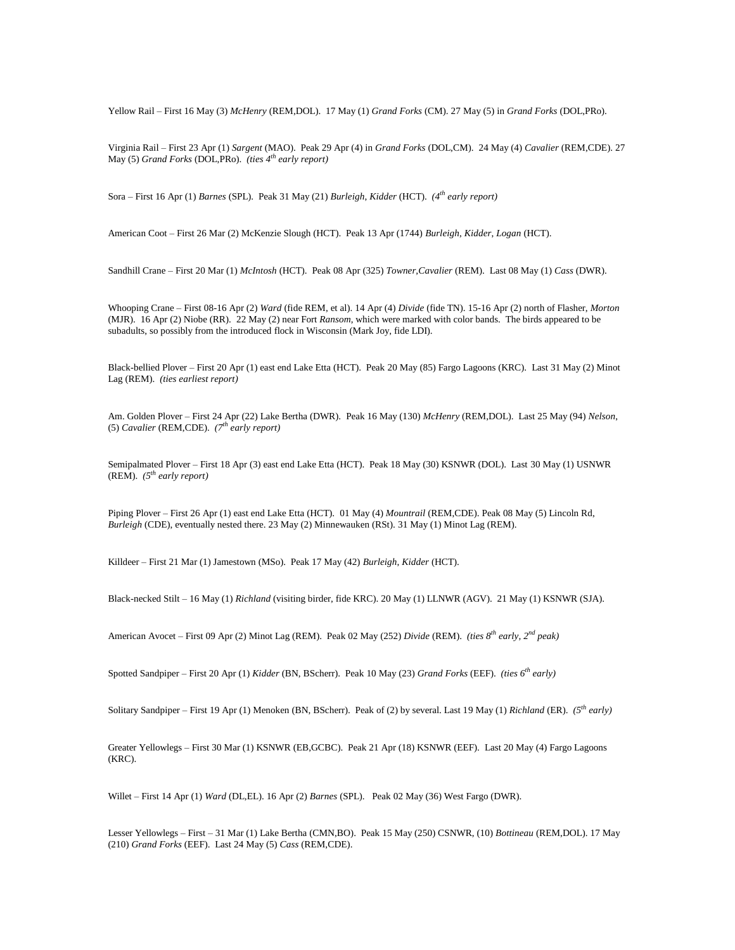Yellow Rail – First 16 May (3) *McHenry* (REM,DOL). 17 May (1) *Grand Forks* (CM). 27 May (5) in *Grand Forks* (DOL,PRo).

Virginia Rail – First 23 Apr (1) *Sargent* (MAO). Peak 29 Apr (4) in *Grand Forks* (DOL,CM). 24 May (4) *Cavalier* (REM,CDE). 27 May (5) *Grand Forks* (DOL,PRo). *(ties 4th early report)*

Sora – First 16 Apr (1) *Barnes* (SPL). Peak 31 May (21) *Burleigh*, *Kidder* (HCT). *(4th early report)*

American Coot – First 26 Mar (2) McKenzie Slough (HCT). Peak 13 Apr (1744) *Burleigh*, *Kidder*, *Logan* (HCT).

Sandhill Crane – First 20 Mar (1) *McIntosh* (HCT). Peak 08 Apr (325) *Towner*,*Cavalier* (REM). Last 08 May (1) *Cass* (DWR).

Whooping Crane – First 08-16 Apr (2) *Ward* (fide REM, et al). 14 Apr (4) *Divide* (fide TN). 15-16 Apr (2) north of Flasher, *Morton* (MJR). 16 Apr (2) Niobe (RR). 22 May (2) near Fort *Ransom*, which were marked with color bands. The birds appeared to be subadults, so possibly from the introduced flock in Wisconsin (Mark Joy, fide LDI).

Black-bellied Plover – First 20 Apr (1) east end Lake Etta (HCT). Peak 20 May (85) Fargo Lagoons (KRC). Last 31 May (2) Minot Lag (REM). *(ties earliest report)*

Am. Golden Plover – First 24 Apr (22) Lake Bertha (DWR). Peak 16 May (130) *McHenry* (REM,DOL). Last 25 May (94) *Nelson*, (5) *Cavalier* (REM,CDE). *(7th early report)*

Semipalmated Plover – First 18 Apr (3) east end Lake Etta (HCT). Peak 18 May (30) KSNWR (DOL). Last 30 May (1) USNWR (REM). *(5th early report)*

Piping Plover – First 26 Apr (1) east end Lake Etta (HCT). 01 May (4) *Mountrail* (REM,CDE). Peak 08 May (5) Lincoln Rd, *Burleigh* (CDE), eventually nested there. 23 May (2) Minnewauken (RSt). 31 May (1) Minot Lag (REM).

Killdeer – First 21 Mar (1) Jamestown (MSo). Peak 17 May (42) *Burleigh*, *Kidder* (HCT).

Black-necked Stilt – 16 May (1) *Richland* (visiting birder, fide KRC). 20 May (1) LLNWR (AGV). 21 May (1) KSNWR (SJA).

American Avocet – First 09 Apr (2) Minot Lag (REM). Peak 02 May (252) *Divide* (REM). *(ties 8th early, 2nd peak)*

Spotted Sandpiper – First 20 Apr (1) *Kidder* (BN, BScherr). Peak 10 May (23) *Grand Forks* (EEF). *(ties 6th early)*

Solitary Sandpiper – First 19 Apr (1) Menoken (BN, BScherr). Peak of (2) by several. Last 19 May (1) *Richland* (ER). *(5th early)*

Greater Yellowlegs – First 30 Mar (1) KSNWR (EB,GCBC). Peak 21 Apr (18) KSNWR (EEF). Last 20 May (4) Fargo Lagoons (KRC).

Willet – First 14 Apr (1) *Ward* (DL,EL). 16 Apr (2) *Barnes* (SPL). Peak 02 May (36) West Fargo (DWR).

Lesser Yellowlegs – First – 31 Mar (1) Lake Bertha (CMN,BO). Peak 15 May (250) CSNWR, (10) *Bottineau* (REM,DOL). 17 May (210) *Grand Forks* (EEF). Last 24 May (5) *Cass* (REM,CDE).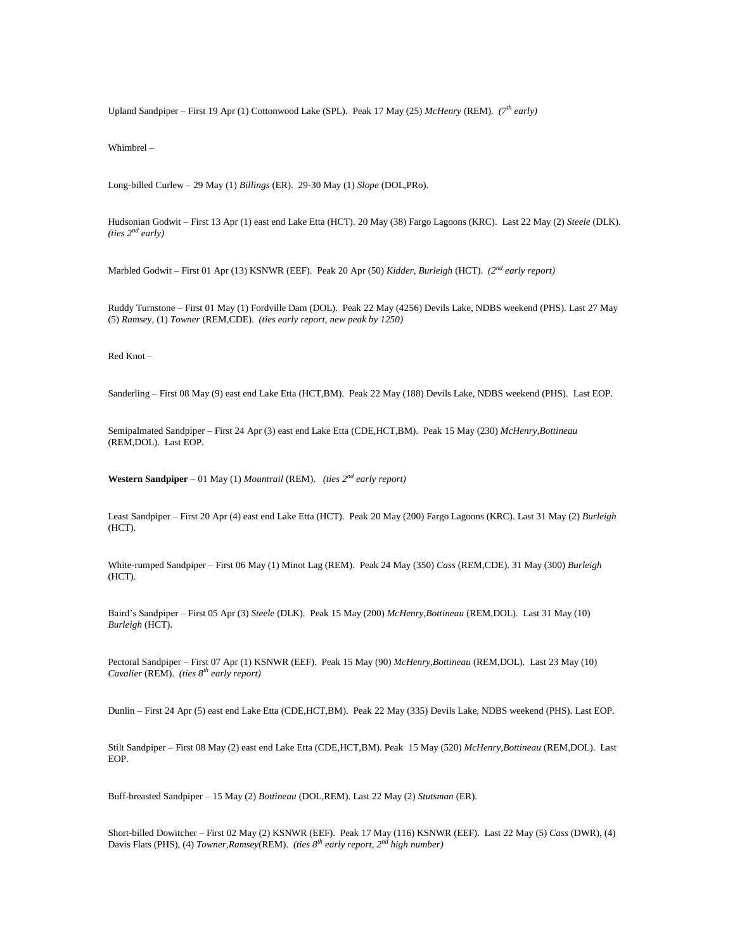Upland Sandpiper – First 19 Apr (1) Cottonwood Lake (SPL). Peak 17 May (25) *McHenry* (REM). *(7th early)*

Whimbrel –

Long-billed Curlew – 29 May (1) *Billings* (ER). 29-30 May (1) *Slope* (DOL,PRo).

Hudsonian Godwit – First 13 Apr (1) east end Lake Etta (HCT). 20 May (38) Fargo Lagoons (KRC). Last 22 May (2) *Steele* (DLK). *(ties 2nd early)*

Marbled Godwit – First 01 Apr (13) KSNWR (EEF). Peak 20 Apr (50) *Kidder*, *Burleigh* (HCT). *(2nd early report)*

Ruddy Turnstone – First 01 May (1) Fordville Dam (DOL). Peak 22 May (4256) Devils Lake, NDBS weekend (PHS). Last 27 May (5) *Ramsey*, (1) *Towner* (REM,CDE). *(ties early report, new peak by 1250)*

Red Knot –

Sanderling – First 08 May (9) east end Lake Etta (HCT,BM). Peak 22 May (188) Devils Lake, NDBS weekend (PHS). Last EOP.

Semipalmated Sandpiper – First 24 Apr (3) east end Lake Etta (CDE,HCT,BM). Peak 15 May (230) *McHenry*,*Bottineau* (REM,DOL). Last EOP.

**Western Sandpiper** – 01 May (1) *Mountrail* (REM). *(ties 2 nd early report)*

Least Sandpiper – First 20 Apr (4) east end Lake Etta (HCT). Peak 20 May (200) Fargo Lagoons (KRC). Last 31 May (2) *Burleigh* (HCT).

White-rumped Sandpiper – First 06 May (1) Minot Lag (REM). Peak 24 May (350) *Cass* (REM,CDE). 31 May (300) *Burleigh* (HCT).

Baird's Sandpiper – First 05 Apr (3) *Steele* (DLK). Peak 15 May (200) *McHenry*,*Bottineau* (REM,DOL). Last 31 May (10) *Burleigh* (HCT).

Pectoral Sandpiper – First 07 Apr (1) KSNWR (EEF). Peak 15 May (90) *McHenry*,*Bottineau* (REM,DOL). Last 23 May (10) *Cavalier* (REM). *(ties 8th early report)*

Dunlin – First 24 Apr (5) east end Lake Etta (CDE,HCT,BM). Peak 22 May (335) Devils Lake, NDBS weekend (PHS). Last EOP.

Stilt Sandpiper – First 08 May (2) east end Lake Etta (CDE,HCT,BM). Peak 15 May (520) *McHenry*,*Bottineau* (REM,DOL). Last EOP.

Buff-breasted Sandpiper – 15 May (2) *Bottineau* (DOL,REM). Last 22 May (2) *Stutsman* (ER).

Short-billed Dowitcher – First 02 May (2) KSNWR (EEF). Peak 17 May (116) KSNWR (EEF). Last 22 May (5) *Cass* (DWR), (4) Davis Flats (PHS), (4) *Towner*,*Ramsey*(REM). *(ties 8th early report, 2nd high number)*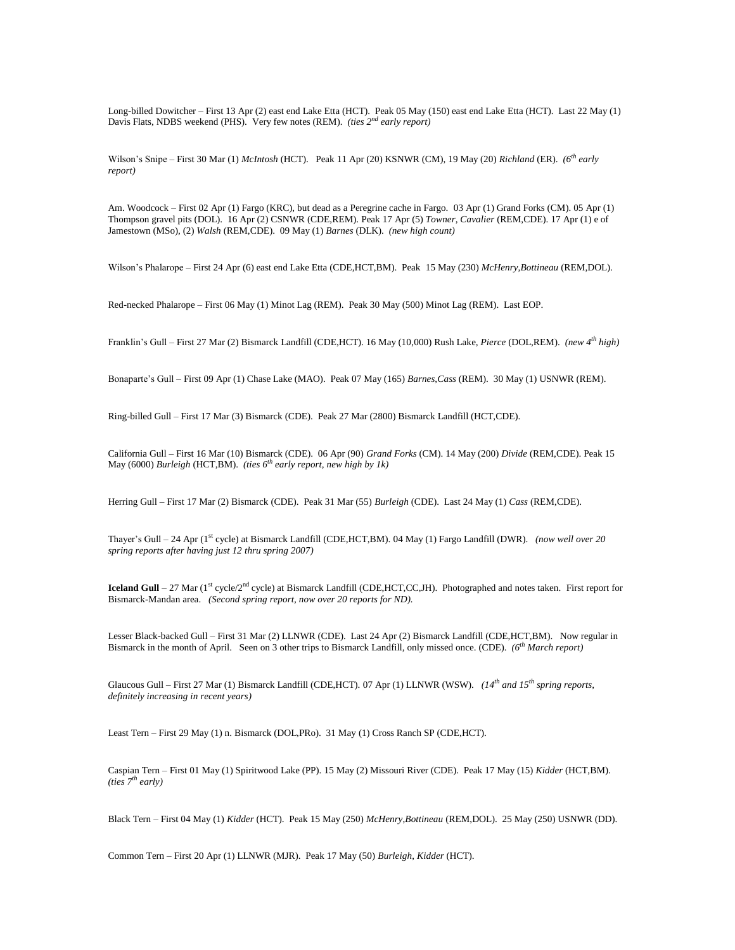Long-billed Dowitcher – First 13 Apr (2) east end Lake Etta (HCT). Peak 05 May (150) east end Lake Etta (HCT). Last 22 May (1) Davis Flats, NDBS weekend (PHS). Very few notes (REM). *(ties 2nd early report)*

Wilson's Snipe – First 30 Mar (1) *McIntosh* (HCT). Peak 11 Apr (20) KSNWR (CM), 19 May (20) *Richland* (ER). *(6th early report)*

Am. Woodcock – First 02 Apr (1) Fargo (KRC), but dead as a Peregrine cache in Fargo. 03 Apr (1) Grand Forks (CM). 05 Apr (1) Thompson gravel pits (DOL). 16 Apr (2) CSNWR (CDE,REM). Peak 17 Apr (5) *Towner*, *Cavalier* (REM,CDE). 17 Apr (1) e of Jamestown (MSo), (2) *Walsh* (REM,CDE). 09 May (1) *Barnes* (DLK). *(new high count)*

Wilson's Phalarope – First 24 Apr (6) east end Lake Etta (CDE,HCT,BM). Peak 15 May (230) *McHenry*,*Bottineau* (REM,DOL).

Red-necked Phalarope – First 06 May (1) Minot Lag (REM). Peak 30 May (500) Minot Lag (REM). Last EOP.

Franklin's Gull – First 27 Mar (2) Bismarck Landfill (CDE,HCT). 16 May (10,000) Rush Lake, *Pierce* (DOL,REM). *(new 4th high)*

Bonaparte's Gull – First 09 Apr (1) Chase Lake (MAO). Peak 07 May (165) *Barnes*,*Cass* (REM). 30 May (1) USNWR (REM).

Ring-billed Gull – First 17 Mar (3) Bismarck (CDE). Peak 27 Mar (2800) Bismarck Landfill (HCT,CDE).

California Gull – First 16 Mar (10) Bismarck (CDE). 06 Apr (90) *Grand Forks* (CM). 14 May (200) *Divide* (REM,CDE). Peak 15 May (6000) *Burleigh* (HCT,BM). *(ties 6th early report, new high by 1k)*

Herring Gull – First 17 Mar (2) Bismarck (CDE). Peak 31 Mar (55) *Burleigh* (CDE). Last 24 May (1) *Cass* (REM,CDE).

Thayer's Gull – 24 Apr (1<sup>st</sup> cycle) at Bismarck Landfill (CDE,HCT,BM). 04 May (1) Fargo Landfill (DWR). *(now well over 20 spring reports after having just 12 thru spring 2007)*

**Iceland Gull** – 27 Mar (1<sup>st</sup> cycle/2<sup>nd</sup> cycle) at Bismarck Landfill (CDE,HCT,CC,JH). Photographed and notes taken. First report for Bismarck-Mandan area. *(Second spring report, now over 20 reports for ND).*

Lesser Black-backed Gull – First 31 Mar (2) LLNWR (CDE). Last 24 Apr (2) Bismarck Landfill (CDE,HCT,BM). Now regular in Bismarck in the month of April. Seen on 3 other trips to Bismarck Landfill, only missed once. (CDE). *(6th March report)*

Glaucous Gull – First 27 Mar (1) Bismarck Landfill (CDE,HCT). 07 Apr (1) LLNWR (WSW). *(14th and 15th spring reports, definitely increasing in recent years)*

Least Tern – First 29 May (1) n. Bismarck (DOL,PRo). 31 May (1) Cross Ranch SP (CDE,HCT).

Caspian Tern – First 01 May (1) Spiritwood Lake (PP). 15 May (2) Missouri River (CDE). Peak 17 May (15) *Kidder* (HCT,BM). *(ties 7th early)*

Black Tern – First 04 May (1) *Kidder* (HCT). Peak 15 May (250) *McHenry*,*Bottineau* (REM,DOL). 25 May (250) USNWR (DD).

Common Tern – First 20 Apr (1) LLNWR (MJR). Peak 17 May (50) *Burleigh*, *Kidder* (HCT).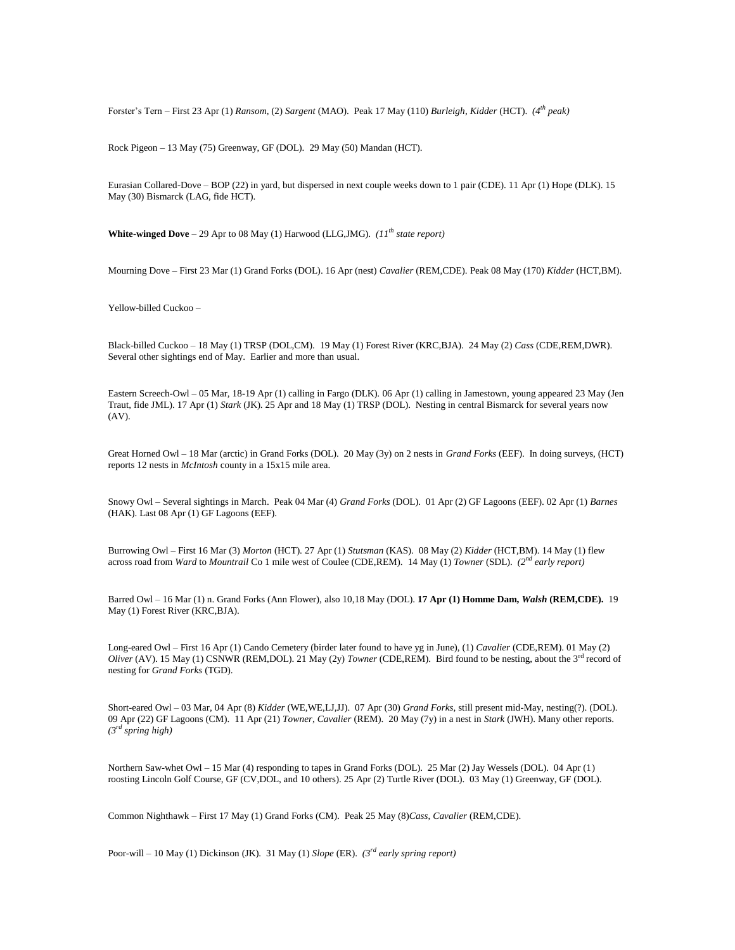Forster's Tern – First 23 Apr (1) *Ransom*, (2) *Sargent* (MAO). Peak 17 May (110) *Burleigh*, *Kidder* (HCT). *(4th peak)*

Rock Pigeon – 13 May (75) Greenway, GF (DOL). 29 May (50) Mandan (HCT).

Eurasian Collared-Dove – BOP (22) in yard, but dispersed in next couple weeks down to 1 pair (CDE). 11 Apr (1) Hope (DLK). 15 May (30) Bismarck (LAG, fide HCT).

**White-winged Dove** – 29 Apr to 08 May (1) Harwood (LLG,JMG). *(11<sup>th</sup> state report)* 

Mourning Dove – First 23 Mar (1) Grand Forks (DOL). 16 Apr (nest) *Cavalier* (REM,CDE). Peak 08 May (170) *Kidder* (HCT,BM).

Yellow-billed Cuckoo –

Black-billed Cuckoo – 18 May (1) TRSP (DOL,CM). 19 May (1) Forest River (KRC,BJA). 24 May (2) *Cass* (CDE,REM,DWR). Several other sightings end of May. Earlier and more than usual.

Eastern Screech-Owl – 05 Mar, 18-19 Apr (1) calling in Fargo (DLK). 06 Apr (1) calling in Jamestown, young appeared 23 May (Jen Traut, fide JML). 17 Apr (1) *Stark* (JK). 25 Apr and 18 May (1) TRSP (DOL). Nesting in central Bismarck for several years now (AV).

Great Horned Owl – 18 Mar (arctic) in Grand Forks (DOL). 20 May (3y) on 2 nests in *Grand Forks* (EEF). In doing surveys, (HCT) reports 12 nests in *McIntosh* county in a 15x15 mile area.

Snowy Owl – Several sightings in March. Peak 04 Mar (4) *Grand Forks* (DOL). 01 Apr (2) GF Lagoons (EEF). 02 Apr (1) *Barnes* (HAK). Last 08 Apr (1) GF Lagoons (EEF).

Burrowing Owl – First 16 Mar (3) *Morton* (HCT). 27 Apr (1) *Stutsman* (KAS). 08 May (2) *Kidder* (HCT,BM). 14 May (1) flew across road from *Ward* to *Mountrail* Co 1 mile west of Coulee (CDE,REM). 14 May (1) *Towner* (SDL). *(2nd early report)*

Barred Owl – 16 Mar (1) n. Grand Forks (Ann Flower), also 10,18 May (DOL). **17 Apr (1) Homme Dam,** *Walsh* **(REM,CDE).** 19 May (1) Forest River (KRC,BJA).

Long-eared Owl – First 16 Apr (1) Cando Cemetery (birder later found to have yg in June), (1) *Cavalier* (CDE,REM). 01 May (2) *Oliver* (AV). 15 May (1) CSNWR (REM,DOL). 21 May (2y) *Towner* (CDE,REM). Bird found to be nesting, about the 3rd record of nesting for *Grand Forks* (TGD).

Short-eared Owl – 03 Mar, 04 Apr (8) *Kidder* (WE,WE,LJ,JJ). 07 Apr (30) *Grand Forks*, still present mid-May, nesting(?). (DOL). 09 Apr (22) GF Lagoons (CM). 11 Apr (21) *Towner*, *Cavalier* (REM). 20 May (7y) in a nest in *Stark* (JWH). Many other reports. *(3rd spring high)*

Northern Saw-whet Owl – 15 Mar (4) responding to tapes in Grand Forks (DOL). 25 Mar (2) Jay Wessels (DOL). 04 Apr (1) roosting Lincoln Golf Course, GF (CV,DOL, and 10 others). 25 Apr (2) Turtle River (DOL). 03 May (1) Greenway, GF (DOL).

Common Nighthawk – First 17 May (1) Grand Forks (CM). Peak 25 May (8)*Cass*, *Cavalier* (REM,CDE).

Poor-will – 10 May (1) Dickinson (JK). 31 May (1) *Slope* (ER). *(3rd early spring report)*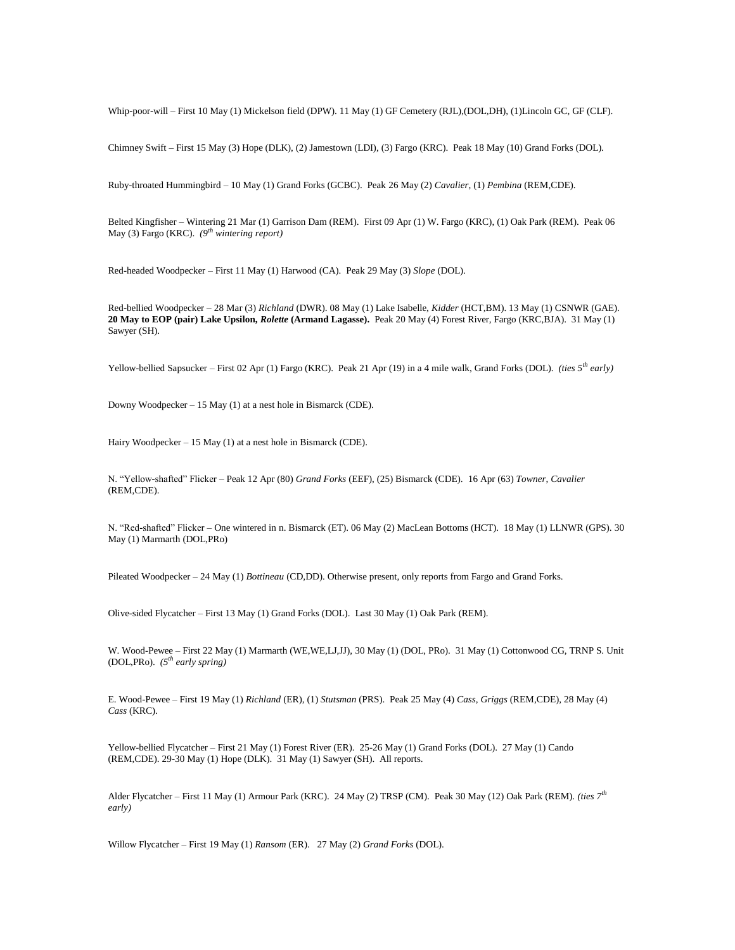Whip-poor-will – First 10 May (1) Mickelson field (DPW). 11 May (1) GF Cemetery (RJL),(DOL,DH), (1)Lincoln GC, GF (CLF).

Chimney Swift – First 15 May (3) Hope (DLK), (2) Jamestown (LDI), (3) Fargo (KRC). Peak 18 May (10) Grand Forks (DOL).

Ruby-throated Hummingbird – 10 May (1) Grand Forks (GCBC). Peak 26 May (2) *Cavalier*, (1) *Pembina* (REM,CDE).

Belted Kingfisher – Wintering 21 Mar (1) Garrison Dam (REM). First 09 Apr (1) W. Fargo (KRC), (1) Oak Park (REM). Peak 06 May (3) Fargo (KRC). *(9th wintering report)*

Red-headed Woodpecker – First 11 May (1) Harwood (CA). Peak 29 May (3) *Slope* (DOL).

Red-bellied Woodpecker – 28 Mar (3) *Richland* (DWR). 08 May (1) Lake Isabelle, *Kidder* (HCT,BM). 13 May (1) CSNWR (GAE). **20 May to EOP (pair) Lake Upsilon,** *Rolette* **(Armand Lagasse).** Peak 20 May (4) Forest River, Fargo (KRC,BJA). 31 May (1) Sawyer (SH).

Yellow-bellied Sapsucker – First 02 Apr (1) Fargo (KRC). Peak 21 Apr (19) in a 4 mile walk, Grand Forks (DOL). *(ties 5th early)*

Downy Woodpecker – 15 May (1) at a nest hole in Bismarck (CDE).

Hairy Woodpecker – 15 May (1) at a nest hole in Bismarck (CDE).

N. "Yellow-shafted" Flicker – Peak 12 Apr (80) *Grand Forks* (EEF), (25) Bismarck (CDE). 16 Apr (63) *Towner*, *Cavalier* (REM,CDE).

N. "Red-shafted" Flicker – One wintered in n. Bismarck (ET). 06 May (2) MacLean Bottoms (HCT). 18 May (1) LLNWR (GPS). 30 May (1) Marmarth (DOL,PRo)

Pileated Woodpecker – 24 May (1) *Bottineau* (CD,DD). Otherwise present, only reports from Fargo and Grand Forks.

Olive-sided Flycatcher – First 13 May (1) Grand Forks (DOL). Last 30 May (1) Oak Park (REM).

W. Wood-Pewee – First 22 May (1) Marmarth (WE,WE,LJ,JJ), 30 May (1) (DOL, PRo). 31 May (1) Cottonwood CG, TRNP S. Unit (DOL,PRo). *(5th early spring)*

E. Wood-Pewee – First 19 May (1) *Richland* (ER), (1) *Stutsman* (PRS). Peak 25 May (4) *Cass*, *Griggs* (REM,CDE), 28 May (4) *Cass* (KRC).

Yellow-bellied Flycatcher – First 21 May (1) Forest River (ER). 25-26 May (1) Grand Forks (DOL). 27 May (1) Cando (REM,CDE). 29-30 May (1) Hope (DLK). 31 May (1) Sawyer (SH). All reports.

Alder Flycatcher – First 11 May (1) Armour Park (KRC). 24 May (2) TRSP (CM). Peak 30 May (12) Oak Park (REM). *(ties 7th early)*

Willow Flycatcher – First 19 May (1) *Ransom* (ER). 27 May (2) *Grand Forks* (DOL).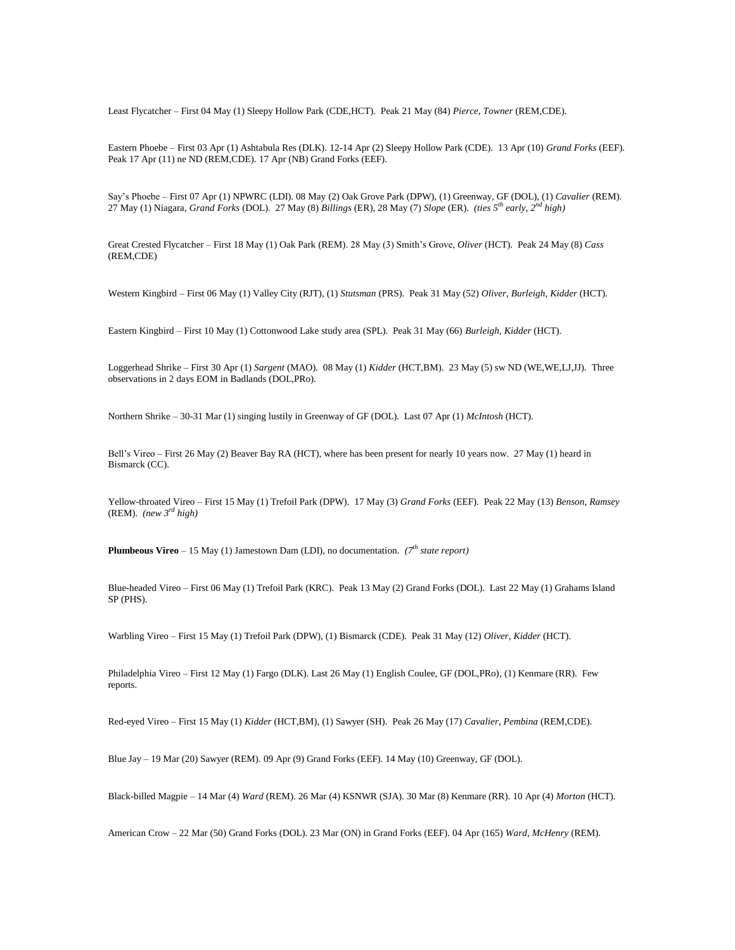Least Flycatcher – First 04 May (1) Sleepy Hollow Park (CDE,HCT). Peak 21 May (84) *Pierce*, *Towner* (REM,CDE).

Eastern Phoebe – First 03 Apr (1) Ashtabula Res (DLK). 12-14 Apr (2) Sleepy Hollow Park (CDE). 13 Apr (10) *Grand Forks* (EEF). Peak 17 Apr (11) ne ND (REM,CDE). 17 Apr (NB) Grand Forks (EEF).

Say's Phoebe – First 07 Apr (1) NPWRC (LDI). 08 May (2) Oak Grove Park (DPW), (1) Greenway, GF (DOL), (1) *Cavalier* (REM). 27 May (1) Niagara, *Grand Forks* (DOL). 27 May (8) *Billings* (ER), 28 May (7) *Slope* (ER). *(ties 5th early, 2nd high)*

Great Crested Flycatcher – First 18 May (1) Oak Park (REM). 28 May (3) Smith's Grove, *Oliver* (HCT). Peak 24 May (8) *Cass* (REM,CDE)

Western Kingbird – First 06 May (1) Valley City (RJT), (1) *Stutsman* (PRS). Peak 31 May (52) *Oliver*, *Burleigh*, *Kidder* (HCT).

Eastern Kingbird – First 10 May (1) Cottonwood Lake study area (SPL). Peak 31 May (66) *Burleigh*, *Kidder* (HCT).

Loggerhead Shrike – First 30 Apr (1) *Sargent* (MAO). 08 May (1) *Kidder* (HCT,BM). 23 May (5) sw ND (WE,WE,LJ,JJ). Three observations in 2 days EOM in Badlands (DOL,PRo).

Northern Shrike – 30-31 Mar (1) singing lustily in Greenway of GF (DOL). Last 07 Apr (1) *McIntosh* (HCT).

Bell's Vireo – First 26 May (2) Beaver Bay RA (HCT), where has been present for nearly 10 years now. 27 May (1) heard in Bismarck (CC).

Yellow-throated Vireo – First 15 May (1) Trefoil Park (DPW). 17 May (3) *Grand Forks* (EEF). Peak 22 May (13) *Benson*, *Ramsey* (REM). *(new 3rd high)*

**Plumbeous Vireo** – 15 May (1) Jamestown Dam (LDI), no documentation. *(7th state report)*

Blue-headed Vireo – First 06 May (1) Trefoil Park (KRC). Peak 13 May (2) Grand Forks (DOL). Last 22 May (1) Grahams Island SP (PHS).

Warbling Vireo – First 15 May (1) Trefoil Park (DPW), (1) Bismarck (CDE). Peak 31 May (12) *Oliver*, *Kidder* (HCT).

Philadelphia Vireo – First 12 May (1) Fargo (DLK). Last 26 May (1) English Coulee, GF (DOL,PRo), (1) Kenmare (RR). Few reports.

Red-eyed Vireo – First 15 May (1) *Kidder* (HCT,BM), (1) Sawyer (SH). Peak 26 May (17) *Cavalier*, *Pembina* (REM,CDE).

Blue Jay – 19 Mar (20) Sawyer (REM). 09 Apr (9) Grand Forks (EEF). 14 May (10) Greenway, GF (DOL).

Black-billed Magpie – 14 Mar (4) *Ward* (REM). 26 Mar (4) KSNWR (SJA). 30 Mar (8) Kenmare (RR). 10 Apr (4) *Morton* (HCT).

American Crow – 22 Mar (50) Grand Forks (DOL). 23 Mar (ON) in Grand Forks (EEF). 04 Apr (165) *Ward*, *McHenry* (REM).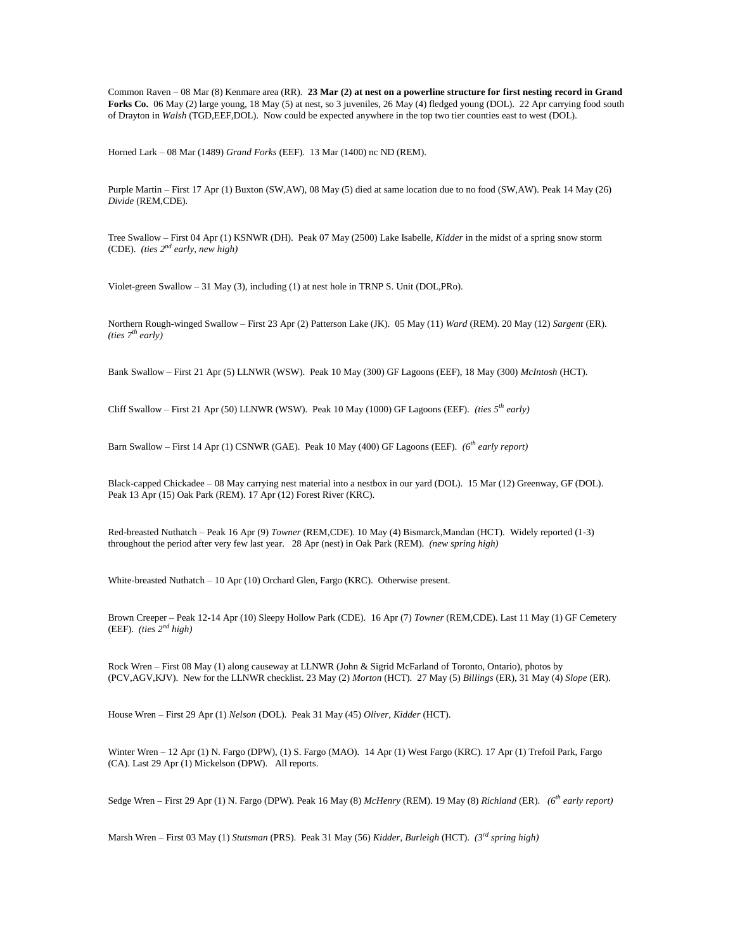Common Raven – 08 Mar (8) Kenmare area (RR). **23 Mar (2) at nest on a powerline structure for first nesting record in Grand Forks Co.** 06 May (2) large young, 18 May (5) at nest, so 3 juveniles, 26 May (4) fledged young (DOL). 22 Apr carrying food south of Drayton in *Walsh* (TGD,EEF,DOL). Now could be expected anywhere in the top two tier counties east to west (DOL).

Horned Lark – 08 Mar (1489) *Grand Forks* (EEF). 13 Mar (1400) nc ND (REM).

Purple Martin – First 17 Apr (1) Buxton (SW,AW), 08 May (5) died at same location due to no food (SW,AW). Peak 14 May (26) *Divide* (REM,CDE).

Tree Swallow – First 04 Apr (1) KSNWR (DH). Peak 07 May (2500) Lake Isabelle, *Kidder* in the midst of a spring snow storm (CDE). *(ties 2 nd early, new high)*

Violet-green Swallow – 31 May (3), including (1) at nest hole in TRNP S. Unit (DOL,PRo).

Northern Rough-winged Swallow – First 23 Apr (2) Patterson Lake (JK). 05 May (11) *Ward* (REM). 20 May (12) *Sargent* (ER). *(ties 7th early)*

Bank Swallow – First 21 Apr (5) LLNWR (WSW). Peak 10 May (300) GF Lagoons (EEF), 18 May (300) *McIntosh* (HCT).

Cliff Swallow – First 21 Apr (50) LLNWR (WSW). Peak 10 May (1000) GF Lagoons (EEF). *(ties 5th early)*

Barn Swallow – First 14 Apr (1) CSNWR (GAE). Peak 10 May (400) GF Lagoons (EEF). *(6th early report)*

Black-capped Chickadee – 08 May carrying nest material into a nestbox in our yard (DOL). 15 Mar (12) Greenway, GF (DOL). Peak 13 Apr (15) Oak Park (REM). 17 Apr (12) Forest River (KRC).

Red-breasted Nuthatch – Peak 16 Apr (9) *Towner* (REM,CDE). 10 May (4) Bismarck,Mandan (HCT). Widely reported (1-3) throughout the period after very few last year. 28 Apr (nest) in Oak Park (REM). *(new spring high)*

White-breasted Nuthatch – 10 Apr (10) Orchard Glen, Fargo (KRC). Otherwise present.

Brown Creeper – Peak 12-14 Apr (10) Sleepy Hollow Park (CDE). 16 Apr (7) *Towner* (REM,CDE). Last 11 May (1) GF Cemetery (EEF).  $(ties 2<sup>nd</sup> high)$ 

Rock Wren – First 08 May (1) along causeway at LLNWR (John & Sigrid McFarland of Toronto, Ontario), photos by (PCV,AGV,KJV). New for the LLNWR checklist. 23 May (2) *Morton* (HCT). 27 May (5) *Billings* (ER), 31 May (4) *Slope* (ER).

House Wren – First 29 Apr (1) *Nelson* (DOL). Peak 31 May (45) *Oliver*, *Kidder* (HCT).

Winter Wren – 12 Apr (1) N. Fargo (DPW), (1) S. Fargo (MAO). 14 Apr (1) West Fargo (KRC). 17 Apr (1) Trefoil Park, Fargo (CA). Last 29 Apr (1) Mickelson (DPW). All reports.

Sedge Wren – First 29 Apr (1) N. Fargo (DPW). Peak 16 May (8) *McHenry* (REM). 19 May (8) *Richland* (ER). *(6th early report)*

Marsh Wren – First 03 May (1) *Stutsman* (PRS). Peak 31 May (56) *Kidder*, *Burleigh* (HCT). *(3rd spring high)*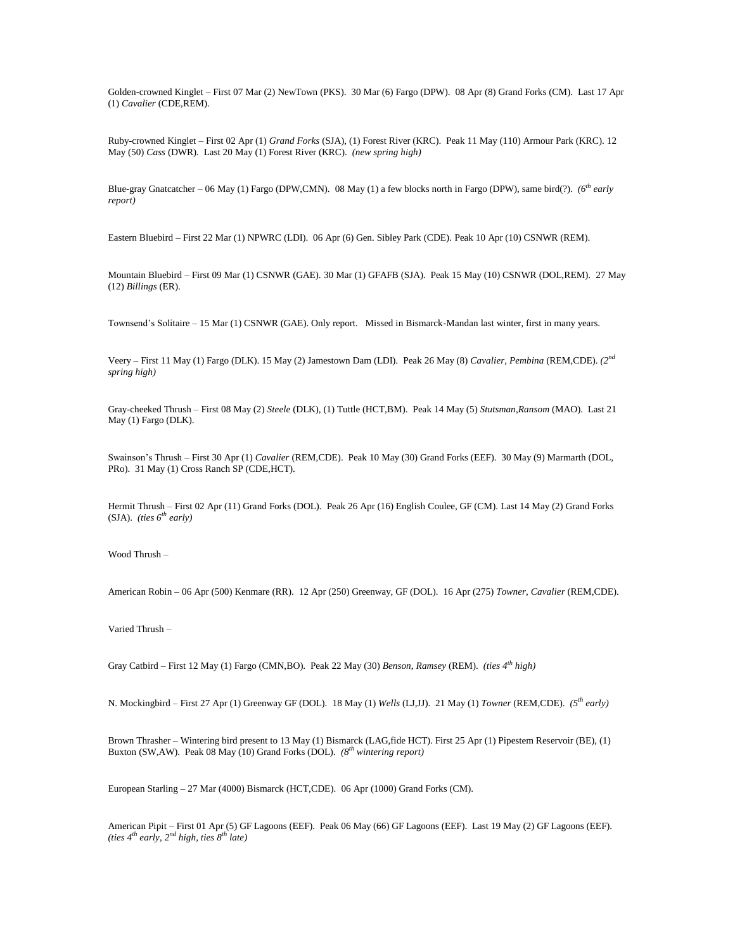Golden-crowned Kinglet – First 07 Mar (2) NewTown (PKS). 30 Mar (6) Fargo (DPW). 08 Apr (8) Grand Forks (CM). Last 17 Apr (1) *Cavalier* (CDE,REM).

Ruby-crowned Kinglet – First 02 Apr (1) *Grand Forks* (SJA), (1) Forest River (KRC). Peak 11 May (110) Armour Park (KRC). 12 May (50) *Cass* (DWR). Last 20 May (1) Forest River (KRC). *(new spring high)* 

Blue-gray Gnatcatcher – 06 May (1) Fargo (DPW,CMN). 08 May (1) a few blocks north in Fargo (DPW), same bird(?). *(6th early report)*

Eastern Bluebird – First 22 Mar (1) NPWRC (LDI). 06 Apr (6) Gen. Sibley Park (CDE). Peak 10 Apr (10) CSNWR (REM).

Mountain Bluebird – First 09 Mar (1) CSNWR (GAE). 30 Mar (1) GFAFB (SJA). Peak 15 May (10) CSNWR (DOL,REM). 27 May (12) *Billings* (ER).

Townsend's Solitaire – 15 Mar (1) CSNWR (GAE). Only report. Missed in Bismarck-Mandan last winter, first in many years.

Veery – First 11 May (1) Fargo (DLK). 15 May (2) Jamestown Dam (LDI). Peak 26 May (8) *Cavalier*, *Pembina* (REM,CDE). *(2nd spring high)*

Gray-cheeked Thrush – First 08 May (2) *Steele* (DLK), (1) Tuttle (HCT,BM). Peak 14 May (5) *Stutsman*,*Ransom* (MAO). Last 21 May (1) Fargo (DLK).

Swainson's Thrush – First 30 Apr (1) *Cavalier* (REM,CDE). Peak 10 May (30) Grand Forks (EEF). 30 May (9) Marmarth (DOL, PRo). 31 May (1) Cross Ranch SP (CDE,HCT).

Hermit Thrush – First 02 Apr (11) Grand Forks (DOL). Peak 26 Apr (16) English Coulee, GF (CM). Last 14 May (2) Grand Forks (SJA). *(ties 6th early)*

Wood Thrush –

American Robin – 06 Apr (500) Kenmare (RR). 12 Apr (250) Greenway, GF (DOL). 16 Apr (275) *Towner*, *Cavalier* (REM,CDE).

Varied Thrush –

Gray Catbird – First 12 May (1) Fargo (CMN,BO). Peak 22 May (30) *Benson*, *Ramsey* (REM). *(ties 4th high)*

N. Mockingbird – First 27 Apr (1) Greenway GF (DOL). 18 May (1) *Wells* (LJ,JJ). 21 May (1) *Towner* (REM,CDE). *(5th early)*

Brown Thrasher – Wintering bird present to 13 May (1) Bismarck (LAG,fide HCT). First 25 Apr (1) Pipestem Reservoir (BE), (1) Buxton (SW,AW). Peak 08 May (10) Grand Forks (DOL). *(8th wintering report)*

European Starling – 27 Mar (4000) Bismarck (HCT,CDE). 06 Apr (1000) Grand Forks (CM).

American Pipit – First 01 Apr (5) GF Lagoons (EEF). Peak 06 May (66) GF Lagoons (EEF). Last 19 May (2) GF Lagoons (EEF). *(ties 4th early, 2nd high, ties 8 th late)*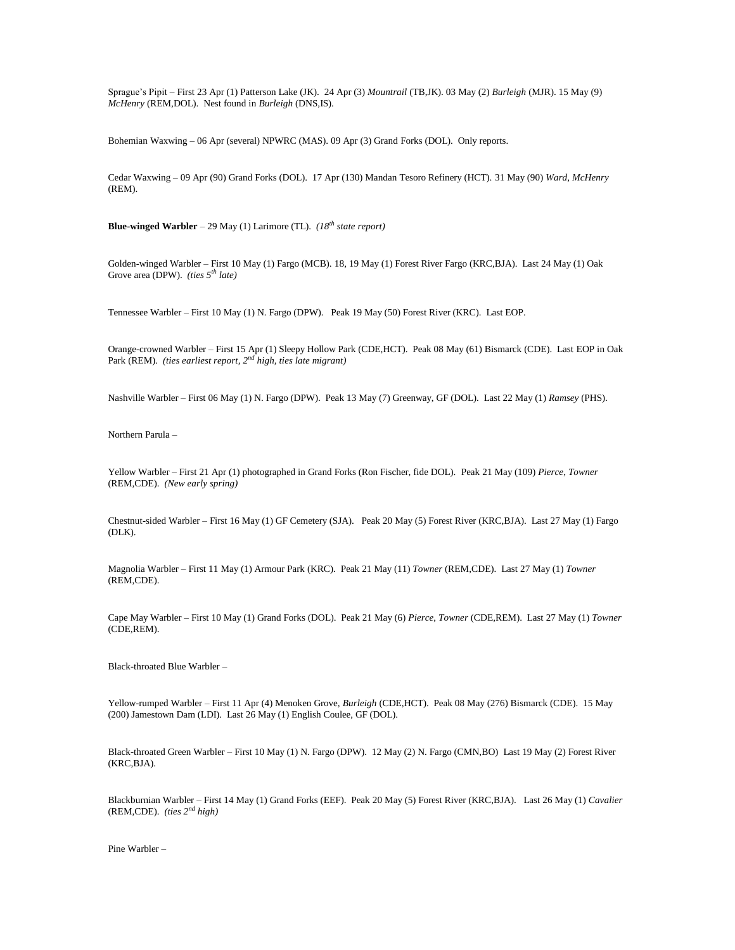Sprague's Pipit – First 23 Apr (1) Patterson Lake (JK). 24 Apr (3) *Mountrail* (TB,JK). 03 May (2) *Burleigh* (MJR). 15 May (9) *McHenry* (REM,DOL). Nest found in *Burleigh* (DNS,IS).

Bohemian Waxwing – 06 Apr (several) NPWRC (MAS). 09 Apr (3) Grand Forks (DOL). Only reports.

Cedar Waxwing – 09 Apr (90) Grand Forks (DOL). 17 Apr (130) Mandan Tesoro Refinery (HCT). 31 May (90) *Ward*, *McHenry* (REM).

**Blue-winged Warbler** – 29 May (1) Larimore (TL). *(18th state report)*

Golden-winged Warbler – First 10 May (1) Fargo (MCB). 18, 19 May (1) Forest River Fargo (KRC,BJA). Last 24 May (1) Oak Grove area (DPW). *(ties 5th late)*

Tennessee Warbler – First 10 May (1) N. Fargo (DPW). Peak 19 May (50) Forest River (KRC). Last EOP.

Orange-crowned Warbler – First 15 Apr (1) Sleepy Hollow Park (CDE,HCT). Peak 08 May (61) Bismarck (CDE). Last EOP in Oak Park (REM). *(ties earliest report, 2nd high, ties late migrant)*

Nashville Warbler – First 06 May (1) N. Fargo (DPW). Peak 13 May (7) Greenway, GF (DOL). Last 22 May (1) *Ramsey* (PHS).

Northern Parula –

Yellow Warbler – First 21 Apr (1) photographed in Grand Forks (Ron Fischer, fide DOL). Peak 21 May (109) *Pierce*, *Towner* (REM,CDE). *(New early spring)*

Chestnut-sided Warbler – First 16 May (1) GF Cemetery (SJA). Peak 20 May (5) Forest River (KRC,BJA). Last 27 May (1) Fargo (DLK).

Magnolia Warbler – First 11 May (1) Armour Park (KRC). Peak 21 May (11) *Towner* (REM,CDE). Last 27 May (1) *Towner* (REM,CDE).

Cape May Warbler – First 10 May (1) Grand Forks (DOL). Peak 21 May (6) *Pierce*, *Towner* (CDE,REM). Last 27 May (1) *Towner* (CDE,REM).

Black-throated Blue Warbler –

Yellow-rumped Warbler – First 11 Apr (4) Menoken Grove, *Burleigh* (CDE,HCT). Peak 08 May (276) Bismarck (CDE). 15 May (200) Jamestown Dam (LDI). Last 26 May (1) English Coulee, GF (DOL).

Black-throated Green Warbler – First 10 May (1) N. Fargo (DPW). 12 May (2) N. Fargo (CMN,BO) Last 19 May (2) Forest River (KRC,BJA).

Blackburnian Warbler – First 14 May (1) Grand Forks (EEF). Peak 20 May (5) Forest River (KRC,BJA). Last 26 May (1) *Cavalier* (REM,CDE). *(ties 2nd high)*

Pine Warbler –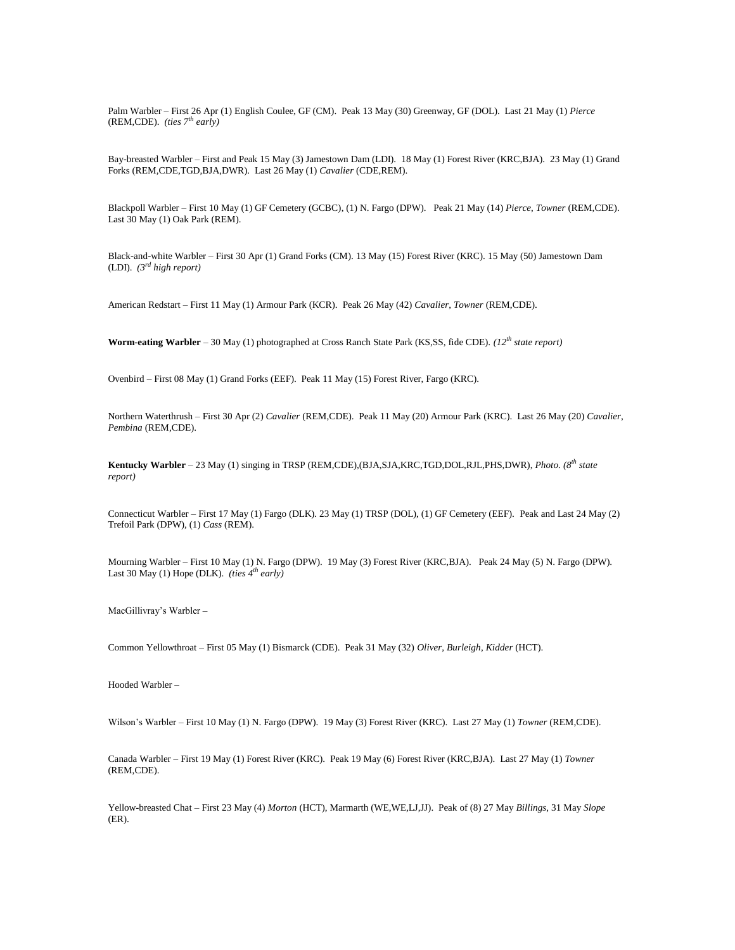Palm Warbler – First 26 Apr (1) English Coulee, GF (CM). Peak 13 May (30) Greenway, GF (DOL). Last 21 May (1) *Pierce* (REM,CDE). *(ties 7th early)*

Bay-breasted Warbler – First and Peak 15 May (3) Jamestown Dam (LDI). 18 May (1) Forest River (KRC,BJA). 23 May (1) Grand Forks (REM,CDE,TGD,BJA,DWR). Last 26 May (1) *Cavalier* (CDE,REM).

Blackpoll Warbler – First 10 May (1) GF Cemetery (GCBC), (1) N. Fargo (DPW). Peak 21 May (14) *Pierce*, *Towner* (REM,CDE). Last 30 May (1) Oak Park (REM).

Black-and-white Warbler – First 30 Apr (1) Grand Forks (CM). 13 May (15) Forest River (KRC). 15 May (50) Jamestown Dam (LDI). *(3rd high report)*

American Redstart – First 11 May (1) Armour Park (KCR). Peak 26 May (42) *Cavalier*, *Towner* (REM,CDE).

**Worm-eating Warbler** – 30 May (1) photographed at Cross Ranch State Park (KS,SS, fide CDE). *(12th state report)*

Ovenbird – First 08 May (1) Grand Forks (EEF). Peak 11 May (15) Forest River, Fargo (KRC).

Northern Waterthrush – First 30 Apr (2) *Cavalier* (REM,CDE). Peak 11 May (20) Armour Park (KRC). Last 26 May (20) *Cavalier*, *Pembina* (REM,CDE).

**Kentucky Warbler** – 23 May (1) singing in TRSP (REM,CDE),(BJA,SJA,KRC,TGD,DOL,RJL,PHS,DWR), *Photo. (8th state report)*

Connecticut Warbler – First 17 May (1) Fargo (DLK). 23 May (1) TRSP (DOL), (1) GF Cemetery (EEF). Peak and Last 24 May (2) Trefoil Park (DPW), (1) *Cass* (REM).

Mourning Warbler – First 10 May (1) N. Fargo (DPW). 19 May (3) Forest River (KRC,BJA). Peak 24 May (5) N. Fargo (DPW). Last 30 May (1) Hope (DLK). *(ties 4th early)*

MacGillivray's Warbler –

Common Yellowthroat – First 05 May (1) Bismarck (CDE). Peak 31 May (32) *Oliver*, *Burleigh*, *Kidder* (HCT).

Hooded Warbler –

Wilson's Warbler – First 10 May (1) N. Fargo (DPW). 19 May (3) Forest River (KRC). Last 27 May (1) *Towner* (REM,CDE).

Canada Warbler – First 19 May (1) Forest River (KRC). Peak 19 May (6) Forest River (KRC,BJA). Last 27 May (1) *Towner* (REM,CDE).

Yellow-breasted Chat – First 23 May (4) *Morton* (HCT), Marmarth (WE,WE,LJ,JJ). Peak of (8) 27 May *Billings*, 31 May *Slope* (ER).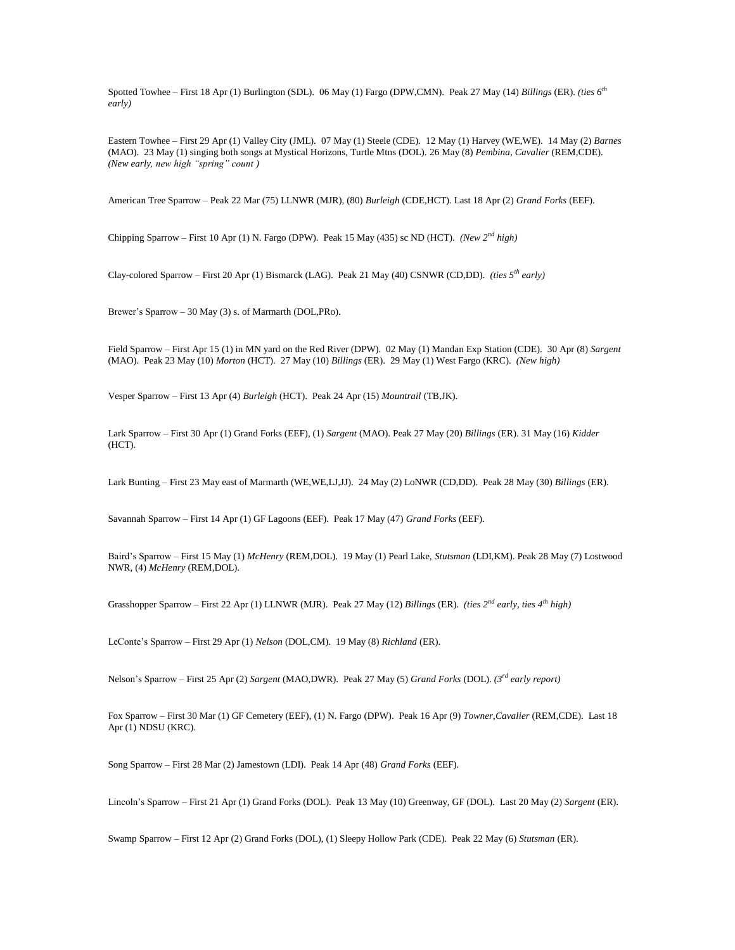Spotted Towhee – First 18 Apr (1) Burlington (SDL). 06 May (1) Fargo (DPW,CMN). Peak 27 May (14) *Billings* (ER). *(ties 6th early)*

Eastern Towhee – First 29 Apr (1) Valley City (JML). 07 May (1) Steele (CDE). 12 May (1) Harvey (WE,WE). 14 May (2) *Barnes* (MAO). 23 May (1) singing both songs at Mystical Horizons, Turtle Mtns (DOL). 26 May (8) *Pembina*, *Cavalier* (REM,CDE). *(New early, new high "spring" count )*

American Tree Sparrow – Peak 22 Mar (75) LLNWR (MJR), (80) *Burleigh* (CDE,HCT). Last 18 Apr (2) *Grand Forks* (EEF).

Chipping Sparrow – First 10 Apr (1) N. Fargo (DPW). Peak 15 May (435) sc ND (HCT). *(New 2nd high)*

Clay-colored Sparrow – First 20 Apr (1) Bismarck (LAG). Peak 21 May (40) CSNWR (CD,DD). *(ties 5th early)*

Brewer's Sparrow – 30 May (3) s. of Marmarth (DOL,PRo).

Field Sparrow – First Apr 15 (1) in MN yard on the Red River (DPW). 02 May (1) Mandan Exp Station (CDE). 30 Apr (8) *Sargent* (MAO). Peak 23 May (10) *Morton* (HCT). 27 May (10) *Billings* (ER). 29 May (1) West Fargo (KRC). *(New high)*

Vesper Sparrow – First 13 Apr (4) *Burleigh* (HCT). Peak 24 Apr (15) *Mountrail* (TB,JK).

Lark Sparrow – First 30 Apr (1) Grand Forks (EEF), (1) *Sargent* (MAO). Peak 27 May (20) *Billings* (ER). 31 May (16) *Kidder* (HCT).

Lark Bunting – First 23 May east of Marmarth (WE,WE,LJ,JJ). 24 May (2) LoNWR (CD,DD). Peak 28 May (30) *Billings* (ER).

Savannah Sparrow – First 14 Apr (1) GF Lagoons (EEF). Peak 17 May (47) *Grand Forks* (EEF).

Baird's Sparrow – First 15 May (1) *McHenry* (REM,DOL). 19 May (1) Pearl Lake, *Stutsman* (LDI,KM). Peak 28 May (7) Lostwood NWR, (4) *McHenry* (REM,DOL).

Grasshopper Sparrow – First 22 Apr (1) LLNWR (MJR). Peak 27 May (12) *Billings* (ER). *(ties 2nd early, ties 4th high)*

LeConte's Sparrow – First 29 Apr (1) *Nelson* (DOL,CM). 19 May (8) *Richland* (ER).

Nelson's Sparrow – First 25 Apr (2) *Sargent* (MAO,DWR). Peak 27 May (5) *Grand Forks* (DOL). *(3rd early report)*

Fox Sparrow – First 30 Mar (1) GF Cemetery (EEF), (1) N. Fargo (DPW). Peak 16 Apr (9) *Towner*,*Cavalier* (REM,CDE). Last 18 Apr (1) NDSU (KRC).

Song Sparrow – First 28 Mar (2) Jamestown (LDI). Peak 14 Apr (48) *Grand Forks* (EEF).

Lincoln's Sparrow – First 21 Apr (1) Grand Forks (DOL). Peak 13 May (10) Greenway, GF (DOL). Last 20 May (2) *Sargent* (ER).

Swamp Sparrow – First 12 Apr (2) Grand Forks (DOL), (1) Sleepy Hollow Park (CDE). Peak 22 May (6) *Stutsman* (ER).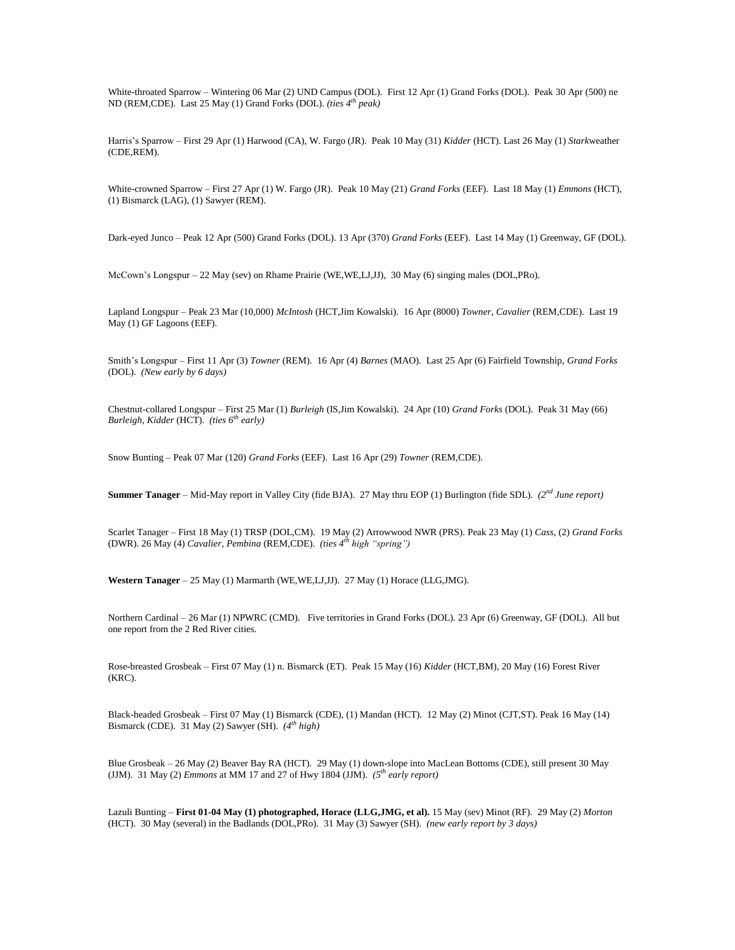White-throated Sparrow – Wintering 06 Mar (2) UND Campus (DOL). First 12 Apr (1) Grand Forks (DOL). Peak 30 Apr (500) ne ND (REM,CDE). Last 25 May (1) Grand Forks (DOL). *(ties 4th peak)*

Harris's Sparrow – First 29 Apr (1) Harwood (CA), W. Fargo (JR). Peak 10 May (31) *Kidder* (HCT). Last 26 May (1) *Stark*weather (CDE,REM).

White-crowned Sparrow – First 27 Apr (1) W. Fargo (JR). Peak 10 May (21) *Grand Forks* (EEF). Last 18 May (1) *Emmons* (HCT), (1) Bismarck (LAG), (1) Sawyer (REM).

Dark-eyed Junco – Peak 12 Apr (500) Grand Forks (DOL). 13 Apr (370) *Grand Forks* (EEF). Last 14 May (1) Greenway, GF (DOL).

McCown's Longspur – 22 May (sev) on Rhame Prairie (WE,WE,LJ,JJ), 30 May (6) singing males (DOL,PRo).

Lapland Longspur – Peak 23 Mar (10,000) *McIntosh* (HCT,Jim Kowalski). 16 Apr (8000) *Towner*, *Cavalier* (REM,CDE). Last 19 May (1) GF Lagoons (EEF).

Smith's Longspur – First 11 Apr (3) *Towner* (REM). 16 Apr (4) *Barnes* (MAO). Last 25 Apr (6) Fairfield Township, *Grand Forks* (DOL). *(New early by 6 days)*

Chestnut-collared Longspur – First 25 Mar (1) *Burleigh* (IS,Jim Kowalski). 24 Apr (10) *Grand Forks* (DOL). Peak 31 May (66) *Burleigh*, *Kidder* (HCT). *(ties 6th early)*

Snow Bunting – Peak 07 Mar (120) *Grand Forks* (EEF). Last 16 Apr (29) *Towner* (REM,CDE).

**Summer Tanager** – Mid-May report in Valley City (fide BJA). 27 May thru EOP (1) Burlington (fide SDL). *(2<sup>nd</sup> June report)* 

Scarlet Tanager – First 18 May (1) TRSP (DOL,CM). 19 May (2) Arrowwood NWR (PRS). Peak 23 May (1) *Cass*, (2) *Grand Forks*  (DWR). 26 May (4) *Cavalier*, *Pembina* (REM,CDE). *(ties 4th high "spring")*

**Western Tanager** – 25 May (1) Marmarth (WE,WE,LJ,JJ). 27 May (1) Horace (LLG,JMG).

Northern Cardinal – 26 Mar (1) NPWRC (CMD). Five territories in Grand Forks (DOL). 23 Apr (6) Greenway, GF (DOL). All but one report from the 2 Red River cities.

Rose-breasted Grosbeak – First 07 May (1) n. Bismarck (ET). Peak 15 May (16) *Kidder* (HCT,BM), 20 May (16) Forest River (KRC).

Black-headed Grosbeak – First 07 May (1) Bismarck (CDE), (1) Mandan (HCT). 12 May (2) Minot (CJT,ST). Peak 16 May (14) Bismarck (CDE). 31 May (2) Sawyer (SH). *(4th high)*

Blue Grosbeak – 26 May (2) Beaver Bay RA (HCT). 29 May (1) down-slope into MacLean Bottoms (CDE), still present 30 May (JJM). 31 May (2) *Emmons* at MM 17 and 27 of Hwy 1804 (JJM). *(5th early report)*

Lazuli Bunting – **First 01-04 May (1) photographed, Horace (LLG,JMG, et al).** 15 May (sev) Minot (RF). 29 May (2) *Morton* (HCT). 30 May (several) in the Badlands (DOL,PRo). 31 May (3) Sawyer (SH). *(new early report by 3 days)*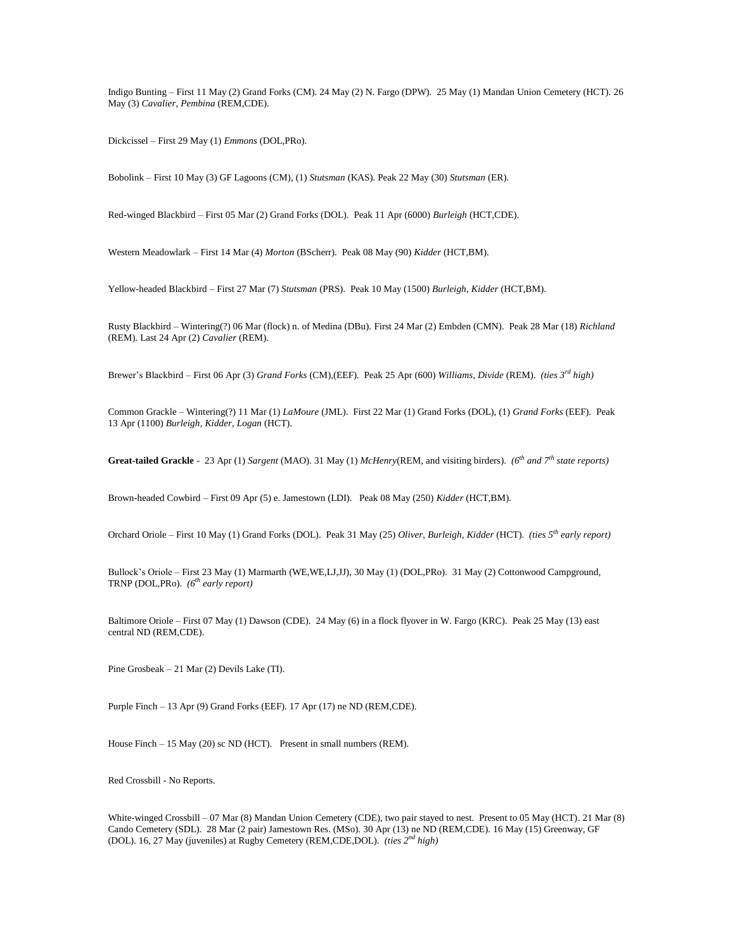Indigo Bunting – First 11 May (2) Grand Forks (CM). 24 May (2) N. Fargo (DPW). 25 May (1) Mandan Union Cemetery (HCT). 26 May (3) *Cavalier*, *Pembina* (REM,CDE).

Dickcissel – First 29 May (1) *Emmons* (DOL,PRo).

Bobolink – First 10 May (3) GF Lagoons (CM), (1) *Stutsman* (KAS). Peak 22 May (30) *Stutsman* (ER).

Red-winged Blackbird – First 05 Mar (2) Grand Forks (DOL). Peak 11 Apr (6000) *Burleigh* (HCT,CDE).

Western Meadowlark – First 14 Mar (4) *Morton* (BScherr). Peak 08 May (90) *Kidder* (HCT,BM).

Yellow-headed Blackbird – First 27 Mar (7) *Stutsman* (PRS). Peak 10 May (1500) *Burleigh*, *Kidder* (HCT,BM).

Rusty Blackbird – Wintering(?) 06 Mar (flock) n. of Medina (DBu). First 24 Mar (2) Embden (CMN). Peak 28 Mar (18) *Richland* (REM). Last 24 Apr (2) *Cavalier* (REM).

Brewer's Blackbird – First 06 Apr (3) *Grand Forks* (CM),(EEF). Peak 25 Apr (600) *Williams*, *Divide* (REM). *(ties 3rd high)*

Common Grackle – Wintering(?) 11 Mar (1) *LaMoure* (JML). First 22 Mar (1) Grand Forks (DOL), (1) *Grand Forks* (EEF). Peak 13 Apr (1100) *Burleigh*, *Kidder*, *Logan* (HCT).

**Great-tailed Grackle** - 23 Apr (1) *Sargent* (MAO). 31 May (1) *McHenry*(REM, and visiting birders). *(6th and 7th state reports)*

Brown-headed Cowbird – First 09 Apr (5) e. Jamestown (LDI). Peak 08 May (250) *Kidder* (HCT,BM).

Orchard Oriole – First 10 May (1) Grand Forks (DOL). Peak 31 May (25) *Oliver*, *Burleigh*, *Kidder* (HCT). *(ties 5th early report)*

Bullock's Oriole – First 23 May (1) Marmarth (WE,WE,LJ,JJ), 30 May (1) (DOL,PRo). 31 May (2) Cottonwood Campground, TRNP (DOL,PRo). *(6th early report)*

Baltimore Oriole – First 07 May (1) Dawson (CDE). 24 May (6) in a flock flyover in W. Fargo (KRC). Peak 25 May (13) east central ND (REM,CDE).

Pine Grosbeak – 21 Mar (2) Devils Lake (TI).

Purple Finch – 13 Apr (9) Grand Forks (EEF). 17 Apr (17) ne ND (REM,CDE).

House Finch – 15 May (20) sc ND (HCT). Present in small numbers (REM).

Red Crossbill - No Reports.

White-winged Crossbill – 07 Mar (8) Mandan Union Cemetery (CDE), two pair stayed to nest. Present to 05 May (HCT). 21 Mar (8) Cando Cemetery (SDL). 28 Mar (2 pair) Jamestown Res. (MSo). 30 Apr (13) ne ND (REM,CDE). 16 May (15) Greenway, GF (DOL). 16, 27 May (juveniles) at Rugby Cemetery (REM,CDE,DOL). *(ties 2nd high)*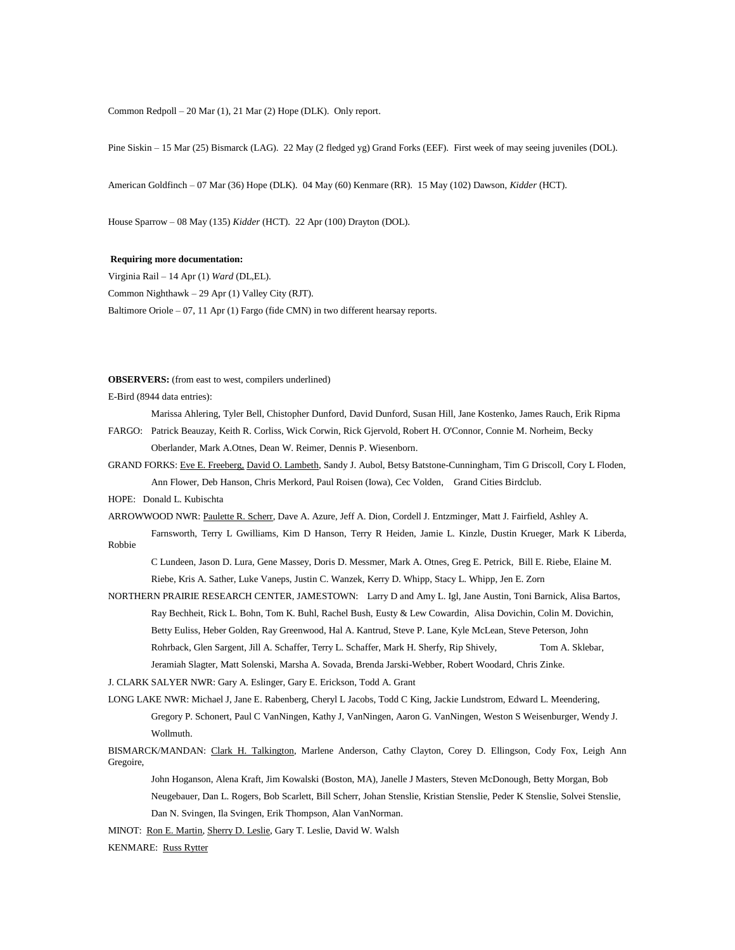Common Redpoll – 20 Mar (1), 21 Mar (2) Hope (DLK). Only report.

Pine Siskin – 15 Mar (25) Bismarck (LAG). 22 May (2 fledged yg) Grand Forks (EEF). First week of may seeing juveniles (DOL).

American Goldfinch – 07 Mar (36) Hope (DLK). 04 May (60) Kenmare (RR). 15 May (102) Dawson, *Kidder* (HCT).

House Sparrow – 08 May (135) *Kidder* (HCT). 22 Apr (100) Drayton (DOL).

## **Requiring more documentation:**

Virginia Rail – 14 Apr (1) *Ward* (DL,EL). Common Nighthawk – 29 Apr (1) Valley City (RJT). Baltimore Oriole – 07, 11 Apr (1) Fargo (fide CMN) in two different hearsay reports.

**OBSERVERS:** (from east to west, compilers underlined)

E-Bird (8944 data entries):

- Marissa Ahlering, Tyler Bell, Chistopher Dunford, David Dunford, Susan Hill, Jane Kostenko, James Rauch, Erik Ripma
- FARGO: Patrick Beauzay, Keith R. Corliss, Wick Corwin, Rick Gjervold, Robert H. O'Connor, Connie M. Norheim, Becky Oberlander, Mark A.Otnes, Dean W. Reimer, Dennis P. Wiesenborn.
- GRAND FORKS: Eve E. Freeberg, David O. Lambeth, Sandy J. Aubol, Betsy Batstone-Cunningham, Tim G Driscoll, Cory L Floden, Ann Flower, Deb Hanson, Chris Merkord, Paul Roisen (Iowa), Cec Volden, Grand Cities Birdclub.
- HOPE: Donald L. Kubischta

ARROWWOOD NWR: Paulette R. Scherr, Dave A. Azure, Jeff A. Dion, Cordell J. Entzminger, Matt J. Fairfield, Ashley A.

Farnsworth, Terry L Gwilliams, Kim D Hanson, Terry R Heiden, Jamie L. Kinzle, Dustin Krueger, Mark K Liberda, Robbie

C Lundeen, Jason D. Lura, Gene Massey, Doris D. Messmer, Mark A. Otnes, Greg E. Petrick, Bill E. Riebe, Elaine M. Riebe, Kris A. Sather, Luke Vaneps, Justin C. Wanzek, Kerry D. Whipp, Stacy L. Whipp, Jen E. Zorn

NORTHERN PRAIRIE RESEARCH CENTER, JAMESTOWN: Larry D and Amy L. Igl, Jane Austin, Toni Barnick, Alisa Bartos, Ray Bechheit, Rick L. Bohn, Tom K. Buhl, Rachel Bush, Eusty & Lew Cowardin, Alisa Dovichin, Colin M. Dovichin, Betty Euliss, Heber Golden, Ray Greenwood, Hal A. Kantrud, Steve P. Lane, Kyle McLean, Steve Peterson, John Rohrback, Glen Sargent, Jill A. Schaffer, Terry L. Schaffer, Mark H. Sherfy, Rip Shively, Tom A. Sklebar, Jeramiah Slagter, Matt Solenski, Marsha A. Sovada, Brenda Jarski-Webber, Robert Woodard, Chris Zinke.

J. CLARK SALYER NWR: Gary A. Eslinger, Gary E. Erickson, Todd A. Grant

- LONG LAKE NWR: Michael J, Jane E. Rabenberg, Cheryl L Jacobs, Todd C King, Jackie Lundstrom, Edward L. Meendering, Gregory P. Schonert, Paul C VanNingen, Kathy J, VanNingen, Aaron G. VanNingen, Weston S Weisenburger, Wendy J. Wollmuth.
- BISMARCK/MANDAN: Clark H. Talkington, Marlene Anderson, Cathy Clayton, Corey D. Ellingson, Cody Fox, Leigh Ann Gregoire,
	- John Hoganson, Alena Kraft, Jim Kowalski (Boston, MA), Janelle J Masters, Steven McDonough, Betty Morgan, Bob Neugebauer, Dan L. Rogers, Bob Scarlett, Bill Scherr, Johan Stenslie, Kristian Stenslie, Peder K Stenslie, Solvei Stenslie, Dan N. Svingen, Ila Svingen, Erik Thompson, Alan VanNorman.

MINOT: Ron E. Martin, Sherry D. Leslie, Gary T. Leslie, David W. Walsh

KENMARE: Russ Rytter